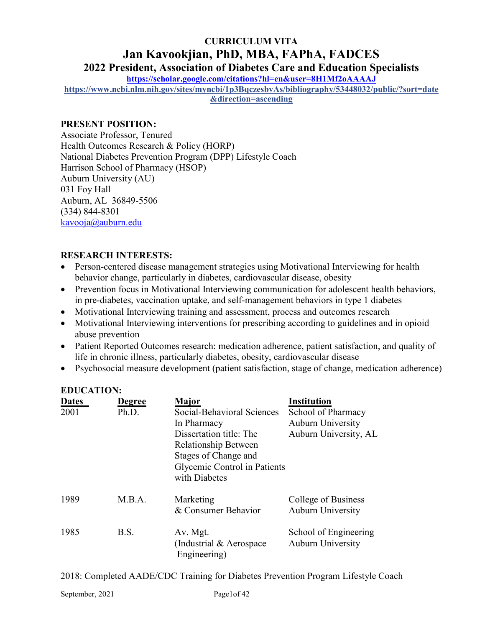# **CURRICULUM VITA Jan Kavookjian, PhD, MBA, FAPhA, FADCES 2022 President, Association of Diabetes Care and Education Specialists**

**<https://scholar.google.com/citations?hl=en&user=8H1Mf2oAAAAJ>**

**[https://www.ncbi.nlm.nih.gov/sites/myncbi/1p3BqczesbvAs/bibliography/53448032/public/?sort=date](https://www.ncbi.nlm.nih.gov/sites/myncbi/1p3BqczesbvAs/bibliography/53448032/public/?sort=date&direction=ascending) [&direction=ascending](https://www.ncbi.nlm.nih.gov/sites/myncbi/1p3BqczesbvAs/bibliography/53448032/public/?sort=date&direction=ascending)**

## **PRESENT POSITION:**

Associate Professor, Tenured Health Outcomes Research & Policy (HORP) National Diabetes Prevention Program (DPP) Lifestyle Coach Harrison School of Pharmacy (HSOP) Auburn University (AU) 031 Foy Hall Auburn, AL 36849-5506 (334) 844-8301 [kavooja@auburn.edu](mailto:kavooja@auburn.edu)

# **RESEARCH INTERESTS:**

- Person-centered disease management strategies using Motivational Interviewing for health behavior change, particularly in diabetes, cardiovascular disease, obesity
- Prevention focus in Motivational Interviewing communication for adolescent health behaviors, in pre-diabetes, vaccination uptake, and self-management behaviors in type 1 diabetes
- Motivational Interviewing training and assessment, process and outcomes research
- Motivational Interviewing interventions for prescribing according to guidelines and in opioid abuse prevention
- Patient Reported Outcomes research: medication adherence, patient satisfaction, and quality of life in chronic illness, particularly diabetes, obesity, cardiovascular disease
- Psychosocial measure development (patient satisfaction, stage of change, medication adherence)

| EDUCATIVIS.          |                        |                                                                                                                                                                                              |                                                                                               |
|----------------------|------------------------|----------------------------------------------------------------------------------------------------------------------------------------------------------------------------------------------|-----------------------------------------------------------------------------------------------|
| <b>Dates</b><br>2001 | <b>Degree</b><br>Ph.D. | <b>Major</b><br>Social-Behavioral Sciences<br>In Pharmacy<br>Dissertation title: The<br><b>Relationship Between</b><br>Stages of Change and<br>Glycemic Control in Patients<br>with Diabetes | <b>Institution</b><br>School of Pharmacy<br><b>Auburn University</b><br>Auburn University, AL |
| 1989                 | M.B.A.                 | Marketing<br>& Consumer Behavior                                                                                                                                                             | College of Business<br><b>Auburn University</b>                                               |
| 1985                 | B.S.                   | Av. Mgt.<br>(Industrial & Aerospace)<br>Engineering)                                                                                                                                         | School of Engineering<br>Auburn University                                                    |

2018: Completed AADE/CDC Training for Diabetes Prevention Program Lifestyle Coach

**EDUCATION:**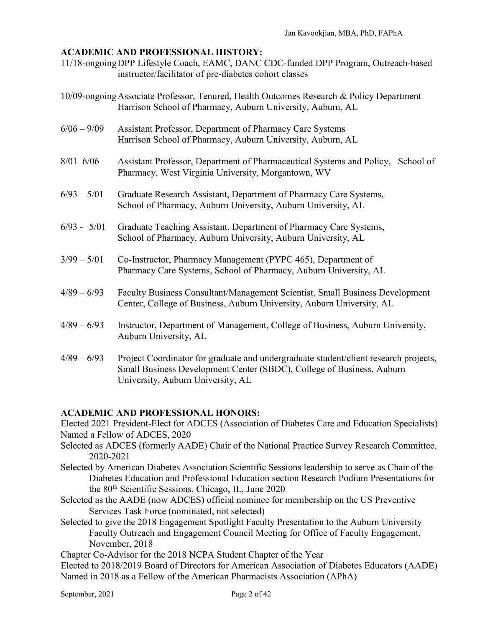### **ACADEMIC AND PROFESSIONAL HISTORY:**

- 11/18-ongoingDPP Lifestyle Coach, EAMC, DANC CDC-funded DPP Program, Outreach-based instructor/facilitator of pre-diabetes cohort classes
- 10/09-ongoingAssociate Professor, Tenured, Health Outcomes Research & Policy Department Harrison School of Pharmacy, Auburn University, Auburn, AL
- 6/06 9/09 Assistant Professor, Department of Pharmacy Care Systems Harrison School of Pharmacy, Auburn University, Auburn, AL
- 8/01–6/06 Assistant Professor, Department of Pharmaceutical Systems and Policy, School of Pharmacy, West Virginia University, Morgantown, WV
- 6/93 5/01 Graduate Research Assistant, Department of Pharmacy Care Systems, School of Pharmacy, Auburn University, Auburn University, AL
- 6/93 5/01 Graduate Teaching Assistant, Department of Pharmacy Care Systems, School of Pharmacy, Auburn University, Auburn University, AL
- 3/99 5/01 Co-Instructor, Pharmacy Management (PYPC 465), Department of Pharmacy Care Systems, School of Pharmacy, Auburn University, AL
- 4/89 6/93 Faculty Business Consultant/Management Scientist, Small Business Development Center, College of Business, Auburn University, Auburn University, AL
- 4/89 6/93 Instructor, Department of Management, College of Business, Auburn University, Auburn University, AL
- 4/89 6/93 Project Coordinator for graduate and undergraduate student/client research projects, Small Business Development Center (SBDC), College of Business, Auburn University, Auburn University, AL

### **ACADEMIC AND PROFESSIONAL HONORS:**

Elected 2021 President-Elect for ADCES (Association of Diabetes Care and Education Specialists) Named a Fellow of ADCES, 2020

- Selected as ADCES (formerly AADE) Chair of the National Practice Survey Research Committee, 2020-2021
- Selected by American Diabetes Association Scientific Sessions leadership to serve as Chair of the Diabetes Education and Professional Education section Research Podium Presentations for the 80th Scientific Sessions, Chicago, IL, June 2020
- Selected as the AADE (now ADCES) official nominee for membership on the US Preventive Services Task Force (nominated, not selected)
- Selected to give the 2018 Engagement Spotlight Faculty Presentation to the Auburn University Faculty Outreach and Engagement Council Meeting for Office of Faculty Engagement, November, 2018

Chapter Co-Advisor for the 2018 NCPA Student Chapter of the Year

Elected to 2018/2019 Board of Directors for American Association of Diabetes Educators (AADE) Named in 2018 as a Fellow of the American Pharmacists Association (APhA)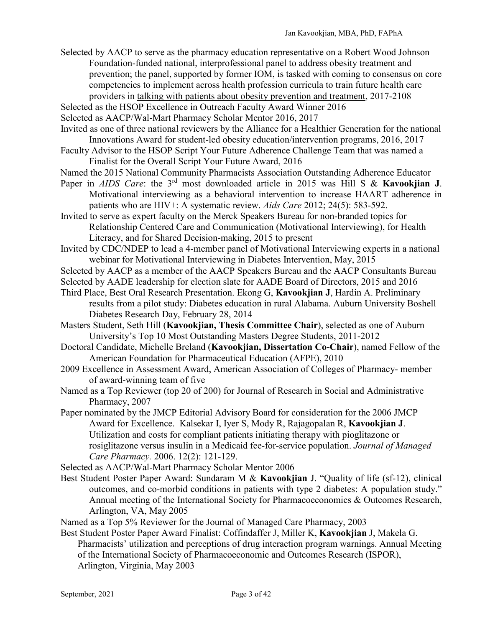Selected by AACP to serve as the pharmacy education representative on a Robert Wood Johnson Foundation-funded national, interprofessional panel to address obesity treatment and prevention; the panel, supported by former IOM, is tasked with coming to consensus on core competencies to implement across health profession curricula to train future health care providers in talking with patients about obesity prevention and treatment, 2017-2108

Selected as the HSOP Excellence in Outreach Faculty Award Winner 2016

Selected as AACP/Wal-Mart Pharmacy Scholar Mentor 2016, 2017

Invited as one of three national reviewers by the Alliance for a Healthier Generation for the national Innovations Award for student-led obesity education/intervention programs, 2016, 2017

- Faculty Advisor to the HSOP Script Your Future Adherence Challenge Team that was named a Finalist for the Overall Script Your Future Award, 2016
- Named the 2015 National Community Pharmacists Association Outstanding Adherence Educator
- Paper in *AIDS Care*: the 3rd most downloaded article in 2015 was Hill S & **Kavookjian J**. Motivational interviewing as a behavioral intervention to increase HAART adherence in patients who are HIV+: A systematic review. *Aids Care* 2012; 24(5): 583-592.

Invited to serve as expert faculty on the Merck Speakers Bureau for non-branded topics for Relationship Centered Care and Communication (Motivational Interviewing), for Health Literacy, and for Shared Decision-making, 2015 to present

Invited by CDC/NDEP to lead a 4-member panel of Motivational Interviewing experts in a national webinar for Motivational Interviewing in Diabetes Intervention, May, 2015

Selected by AACP as a member of the AACP Speakers Bureau and the AACP Consultants Bureau

Selected by AADE leadership for election slate for AADE Board of Directors, 2015 and 2016

- Third Place, Best Oral Research Presentation. Ekong G, **Kavookjian J**, Hardin A. Preliminary results from a pilot study: Diabetes education in rural Alabama. Auburn University Boshell Diabetes Research Day, February 28, 2014
- Masters Student, Seth Hill (**Kavookjian, Thesis Committee Chair**), selected as one of Auburn University's Top 10 Most Outstanding Masters Degree Students, 2011-2012
- Doctoral Candidate, Michelle Breland (**Kavookjian, Dissertation Co-Chair**), named Fellow of the American Foundation for Pharmaceutical Education (AFPE), 2010
- 2009 Excellence in Assessment Award, American Association of Colleges of Pharmacy- member of award-winning team of five

Named as a Top Reviewer (top 20 of 200) for Journal of Research in Social and Administrative Pharmacy, 2007

Paper nominated by the JMCP Editorial Advisory Board for consideration for the 2006 JMCP Award for Excellence. Kalsekar I, Iyer S, Mody R, Rajagopalan R, **Kavookjian J**. Utilization and costs for compliant patients initiating therapy with pioglitazone or rosiglitazone versus insulin in a Medicaid fee-for-service population. *Journal of Managed Care Pharmacy.* 2006. 12(2): 121-129.

Selected as AACP/Wal-Mart Pharmacy Scholar Mentor 2006

Best Student Poster Paper Award: Sundaram M & **Kavookjian** J. "Quality of life (sf-12), clinical outcomes, and co-morbid conditions in patients with type 2 diabetes: A population study." Annual meeting of the International Society for Pharmacoeconomics & Outcomes Research, Arlington, VA, May 2005

Named as a Top 5% Reviewer for the Journal of Managed Care Pharmacy, 2003

Best Student Poster Paper Award Finalist: Coffindaffer J, Miller K, **Kavookjian** J, Makela G. Pharmacists' utilization and perceptions of drug interaction program warnings. Annual Meeting of the International Society of Pharmacoeconomic and Outcomes Research (ISPOR), Arlington, Virginia, May 2003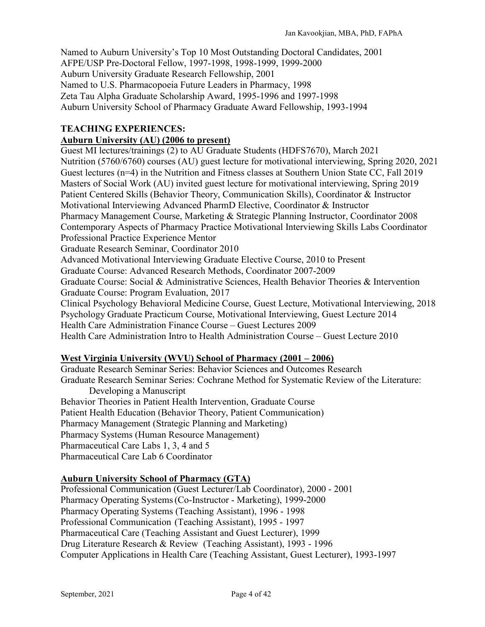Named to Auburn University's Top 10 Most Outstanding Doctoral Candidates, 2001 AFPE/USP Pre-Doctoral Fellow, 1997-1998, 1998-1999, 1999-2000 Auburn University Graduate Research Fellowship, 2001 Named to U.S. Pharmacopoeia Future Leaders in Pharmacy, 1998 Zeta Tau Alpha Graduate Scholarship Award, 1995-1996 and 1997-1998 Auburn University School of Pharmacy Graduate Award Fellowship, 1993-1994

### **TEACHING EXPERIENCES:**

## **Auburn University (AU) (2006 to present)**

Guest MI lectures/trainings (2) to AU Graduate Students (HDFS7670), March 2021 Nutrition (5760/6760) courses (AU) guest lecture for motivational interviewing, Spring 2020, 2021 Guest lectures (n=4) in the Nutrition and Fitness classes at Southern Union State CC, Fall 2019 Masters of Social Work (AU) invited guest lecture for motivational interviewing, Spring 2019 Patient Centered Skills (Behavior Theory, Communication Skills), Coordinator & Instructor Motivational Interviewing Advanced PharmD Elective, Coordinator & Instructor Pharmacy Management Course, Marketing & Strategic Planning Instructor, Coordinator 2008 Contemporary Aspects of Pharmacy Practice Motivational Interviewing Skills Labs Coordinator Professional Practice Experience Mentor Graduate Research Seminar, Coordinator 2010 Advanced Motivational Interviewing Graduate Elective Course, 2010 to Present Graduate Course: Advanced Research Methods, Coordinator 2007-2009 Graduate Course: Social & Administrative Sciences, Health Behavior Theories & Intervention Graduate Course: Program Evaluation, 2017 Clinical Psychology Behavioral Medicine Course, Guest Lecture, Motivational Interviewing, 2018 Psychology Graduate Practicum Course, Motivational Interviewing, Guest Lecture 2014 Health Care Administration Finance Course – Guest Lectures 2009 Health Care Administration Intro to Health Administration Course – Guest Lecture 2010

### **West Virginia University (WVU) School of Pharmacy (2001 – 2006)**

Graduate Research Seminar Series: Behavior Sciences and Outcomes Research Graduate Research Seminar Series: Cochrane Method for Systematic Review of the Literature: Developing a Manuscript Behavior Theories in Patient Health Intervention, Graduate Course Patient Health Education (Behavior Theory, Patient Communication) Pharmacy Management (Strategic Planning and Marketing) Pharmacy Systems (Human Resource Management) Pharmaceutical Care Labs 1, 3, 4 and 5 Pharmaceutical Care Lab 6 Coordinator

# **Auburn University School of Pharmacy (GTA)**

Professional Communication (Guest Lecturer/Lab Coordinator), 2000 - 2001 Pharmacy Operating Systems(Co-Instructor - Marketing), 1999-2000 Pharmacy Operating Systems (Teaching Assistant), 1996 - 1998 Professional Communication (Teaching Assistant), 1995 - 1997 Pharmaceutical Care (Teaching Assistant and Guest Lecturer), 1999 Drug Literature Research & Review (Teaching Assistant), 1993 - 1996 Computer Applications in Health Care (Teaching Assistant, Guest Lecturer), 1993-1997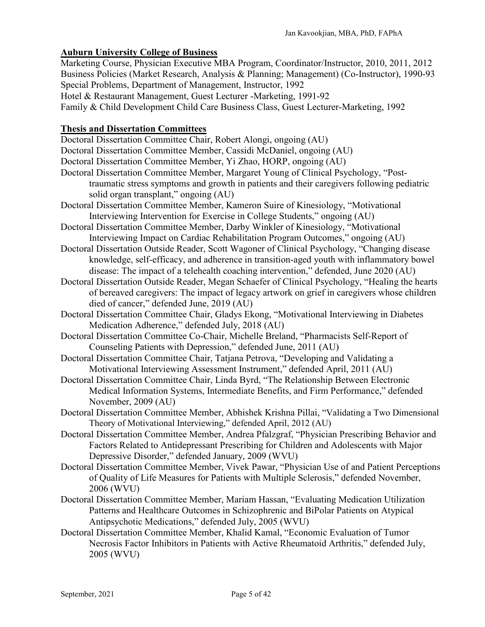# **Auburn University College of Business**

Marketing Course, Physician Executive MBA Program, Coordinator/Instructor, 2010, 2011, 2012 Business Policies (Market Research, Analysis & Planning; Management) (Co-Instructor), 1990-93 Special Problems, Department of Management, Instructor, 1992

Hotel & Restaurant Management, Guest Lecturer -Marketing, 1991-92

Family & Child Development Child Care Business Class, Guest Lecturer-Marketing, 1992

### **Thesis and Dissertation Committees**

Doctoral Dissertation Committee Chair, Robert Alongi, ongoing (AU)

Doctoral Dissertation Committee Member, Cassidi McDaniel, ongoing (AU)

Doctoral Dissertation Committee Member, Yi Zhao, HORP, ongoing (AU)

- Doctoral Dissertation Committee Member, Margaret Young of Clinical Psychology, "Posttraumatic stress symptoms and growth in patients and their caregivers following pediatric solid organ transplant," ongoing (AU)
- Doctoral Dissertation Committee Member, Kameron Suire of Kinesiology, "Motivational Interviewing Intervention for Exercise in College Students," ongoing (AU)
- Doctoral Dissertation Committee Member, Darby Winkler of Kinesiology, "Motivational Interviewing Impact on Cardiac Rehabilitation Program Outcomes," ongoing (AU)
- Doctoral Dissertation Outside Reader, Scott Wagoner of Clinical Psychology, "Changing disease knowledge, self-efficacy, and adherence in transition-aged youth with inflammatory bowel disease: The impact of a telehealth coaching intervention," defended, June 2020 (AU)
- Doctoral Dissertation Outside Reader, Megan Schaefer of Clinical Psychology, "Healing the hearts of bereaved caregivers: The impact of legacy artwork on grief in caregivers whose children died of cancer," defended June, 2019 (AU)
- Doctoral Dissertation Committee Chair, Gladys Ekong, "Motivational Interviewing in Diabetes Medication Adherence," defended July, 2018 (AU)
- Doctoral Dissertation Committee Co-Chair, Michelle Breland, "Pharmacists Self-Report of Counseling Patients with Depression," defended June, 2011 (AU)
- Doctoral Dissertation Committee Chair, Tatjana Petrova, "Developing and Validating a Motivational Interviewing Assessment Instrument," defended April, 2011 (AU)
- Doctoral Dissertation Committee Chair, Linda Byrd, "The Relationship Between Electronic Medical Information Systems, Intermediate Benefits, and Firm Performance," defended November, 2009 (AU)
- Doctoral Dissertation Committee Member, Abhishek Krishna Pillai, "Validating a Two Dimensional Theory of Motivational Interviewing," defended April, 2012 (AU)
- Doctoral Dissertation Committee Member, Andrea Pfalzgraf, "Physician Prescribing Behavior and Factors Related to Antidepressant Prescribing for Children and Adolescents with Major Depressive Disorder," defended January, 2009 (WVU)
- Doctoral Dissertation Committee Member, Vivek Pawar, "Physician Use of and Patient Perceptions of Quality of Life Measures for Patients with Multiple Sclerosis," defended November, 2006 (WVU)
- Doctoral Dissertation Committee Member, Mariam Hassan, "Evaluating Medication Utilization Patterns and Healthcare Outcomes in Schizophrenic and BiPolar Patients on Atypical Antipsychotic Medications," defended July, 2005 (WVU)
- Doctoral Dissertation Committee Member, Khalid Kamal, "Economic Evaluation of Tumor Necrosis Factor Inhibitors in Patients with Active Rheumatoid Arthritis," defended July, 2005 (WVU)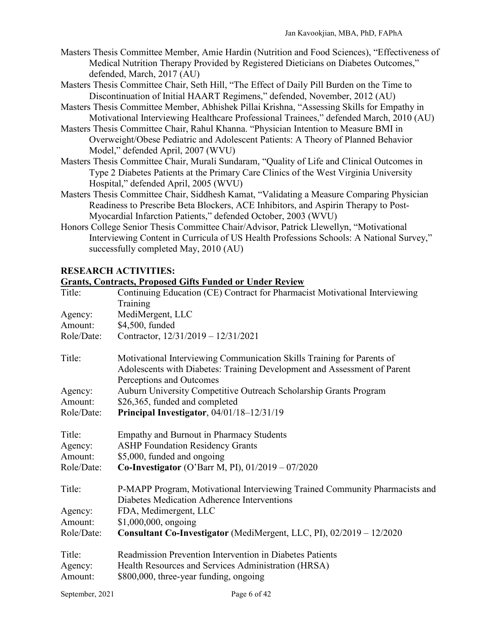- Masters Thesis Committee Member, Amie Hardin (Nutrition and Food Sciences), "Effectiveness of Medical Nutrition Therapy Provided by Registered Dieticians on Diabetes Outcomes," defended, March, 2017 (AU)
- Masters Thesis Committee Chair, Seth Hill, "The Effect of Daily Pill Burden on the Time to Discontinuation of Initial HAART Regimens," defended, November, 2012 (AU)
- Masters Thesis Committee Member, Abhishek Pillai Krishna, "Assessing Skills for Empathy in Motivational Interviewing Healthcare Professional Trainees," defended March, 2010 (AU)
- Masters Thesis Committee Chair, Rahul Khanna. "Physician Intention to Measure BMI in Overweight/Obese Pediatric and Adolescent Patients: A Theory of Planned Behavior Model," defended April, 2007 (WVU)
- Masters Thesis Committee Chair, Murali Sundaram, "Quality of Life and Clinical Outcomes in Type 2 Diabetes Patients at the Primary Care Clinics of the West Virginia University Hospital," defended April, 2005 (WVU)
- Masters Thesis Committee Chair, Siddhesh Kamat, "Validating a Measure Comparing Physician Readiness to Prescribe Beta Blockers, ACE Inhibitors, and Aspirin Therapy to Post-Myocardial Infarction Patients," defended October, 2003 (WVU)
- Honors College Senior Thesis Committee Chair/Advisor, Patrick Llewellyn, "Motivational Interviewing Content in Curricula of US Health Professions Schools: A National Survey," successfully completed May, 2010 (AU)

# **RESEARCH ACTIVITIES:**

| <b>Grants, Contracts, Proposed Gifts Funded or Under Review</b> |                                                                                                                                                                                |  |
|-----------------------------------------------------------------|--------------------------------------------------------------------------------------------------------------------------------------------------------------------------------|--|
| Title:                                                          | Continuing Education (CE) Contract for Pharmacist Motivational Interviewing                                                                                                    |  |
|                                                                 | Training                                                                                                                                                                       |  |
| Agency:                                                         | MediMergent, LLC                                                                                                                                                               |  |
| Amount:                                                         | \$4,500, funded                                                                                                                                                                |  |
| Role/Date:                                                      | Contractor, 12/31/2019 - 12/31/2021                                                                                                                                            |  |
| Title:                                                          | Motivational Interviewing Communication Skills Training for Parents of<br>Adolescents with Diabetes: Training Development and Assessment of Parent<br>Perceptions and Outcomes |  |
| Agency:                                                         | Auburn University Competitive Outreach Scholarship Grants Program                                                                                                              |  |
| Amount:                                                         | \$26,365, funded and completed                                                                                                                                                 |  |
| Role/Date:                                                      | Principal Investigator, 04/01/18-12/31/19                                                                                                                                      |  |
| Title:<br>Agency:<br>Amount:                                    | <b>Empathy and Burnout in Pharmacy Students</b><br><b>ASHP Foundation Residency Grants</b><br>\$5,000, funded and ongoing                                                      |  |
| Role/Date:                                                      | <b>Co-Investigator</b> (O'Barr M, PI), $01/2019 - 07/2020$                                                                                                                     |  |
| Title:                                                          | P-MAPP Program, Motivational Interviewing Trained Community Pharmacists and<br>Diabetes Medication Adherence Interventions                                                     |  |
| Agency:                                                         | FDA, Medimergent, LLC                                                                                                                                                          |  |
| Amount:                                                         | \$1,000,000, ongoing                                                                                                                                                           |  |
| Role/Date:                                                      | Consultant Co-Investigator (MediMergent, LLC, PI), 02/2019 - 12/2020                                                                                                           |  |
| Title:<br>Agency:                                               | Readmission Prevention Intervention in Diabetes Patients<br>Health Resources and Services Administration (HRSA)                                                                |  |
| Amount:                                                         | \$800,000, three-year funding, ongoing                                                                                                                                         |  |
|                                                                 |                                                                                                                                                                                |  |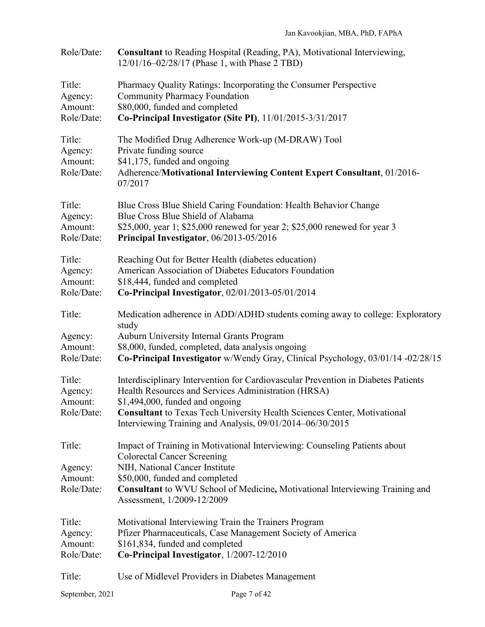| Role/Date:                                 | Consultant to Reading Hospital (Reading, PA), Motivational Interviewing,<br>12/01/16-02/28/17 (Phase 1, with Phase 2 TBD)                                                                                                                                        |
|--------------------------------------------|------------------------------------------------------------------------------------------------------------------------------------------------------------------------------------------------------------------------------------------------------------------|
| Title:<br>Agency:<br>Amount:<br>Role/Date: | Pharmacy Quality Ratings: Incorporating the Consumer Perspective<br><b>Community Pharmacy Foundation</b><br>\$80,000, funded and completed<br>Co-Principal Investigator (Site PI), 11/01/2015-3/31/2017                                                          |
| Title:<br>Agency:<br>Amount:<br>Role/Date: | The Modified Drug Adherence Work-up (M-DRAW) Tool<br>Private funding source<br>\$41,175, funded and ongoing<br>Adherence/Motivational Interviewing Content Expert Consultant, 01/2016-<br>07/2017                                                                |
| Title:<br>Agency:<br>Amount:<br>Role/Date: | Blue Cross Blue Shield Caring Foundation: Health Behavior Change<br>Blue Cross Blue Shield of Alabama<br>\$25,000, year 1; \$25,000 renewed for year 2; \$25,000 renewed for year 3<br>Principal Investigator, 06/2013-05/2016                                   |
| Title:<br>Agency:<br>Amount:<br>Role/Date: | Reaching Out for Better Health (diabetes education)<br>American Association of Diabetes Educators Foundation<br>\$18,444, funded and completed<br>Co-Principal Investigator, 02/01/2013-05/01/2014                                                               |
| Title:                                     | Medication adherence in ADD/ADHD students coming away to college: Exploratory<br>study                                                                                                                                                                           |
| Agency:<br>Amount:<br>Role/Date:           | Auburn University Internal Grants Program<br>\$8,000, funded, completed, data analysis ongoing<br>Co-Principal Investigator w/Wendy Gray, Clinical Psychology, 03/01/14 -02/28/15                                                                                |
| Title:<br>Agency:<br>Amount:<br>Role/Date: | Interdisciplinary Intervention for Cardiovascular Prevention in Diabetes Patients<br>Health Resources and Services Administration (HRSA)<br>$$1,494,000$ , funded and ongoing<br><b>Consultant</b> to Texas Tech University Health Sciences Center, Motivational |
|                                            | Interviewing Training and Analysis, 09/01/2014-06/30/2015                                                                                                                                                                                                        |
| Title:                                     | Impact of Training in Motivational Interviewing: Counseling Patients about<br><b>Colorectal Cancer Screening</b>                                                                                                                                                 |
| Agency:<br>Amount:<br>Role/Date:           | NIH, National Cancer Institute<br>\$50,000, funded and completed<br><b>Consultant</b> to WVU School of Medicine, Motivational Interviewing Training and<br>Assessment, 1/2009-12/2009                                                                            |
| Title:<br>Agency:<br>Amount:<br>Role/Date: | Motivational Interviewing Train the Trainers Program<br>Pfizer Pharmaceuticals, Case Management Society of America<br>\$161,834, funded and completed<br>Co-Principal Investigator, 1/2007-12/2010                                                               |
| Title:                                     | Use of Midlevel Providers in Diabetes Management                                                                                                                                                                                                                 |
|                                            |                                                                                                                                                                                                                                                                  |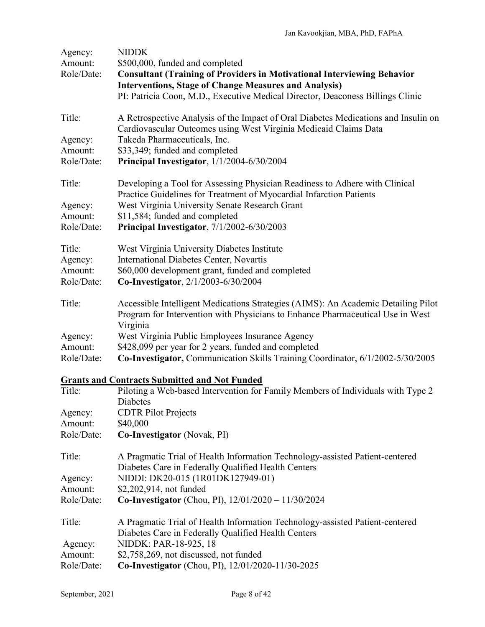| Agency:               | <b>NIDDK</b>                                                                                                                                                                    |
|-----------------------|---------------------------------------------------------------------------------------------------------------------------------------------------------------------------------|
| Amount:<br>Role/Date: | \$500,000, funded and completed<br><b>Consultant (Training of Providers in Motivational Interviewing Behavior</b>                                                               |
|                       | <b>Interventions, Stage of Change Measures and Analysis)</b>                                                                                                                    |
|                       | PI: Patricia Coon, M.D., Executive Medical Director, Deaconess Billings Clinic                                                                                                  |
| Title:                | A Retrospective Analysis of the Impact of Oral Diabetes Medications and Insulin on<br>Cardiovascular Outcomes using West Virginia Medicaid Claims Data                          |
| Agency:               | Takeda Pharmaceuticals, Inc.                                                                                                                                                    |
| Amount:               | \$33,349; funded and completed                                                                                                                                                  |
| Role/Date:            | Principal Investigator, 1/1/2004-6/30/2004                                                                                                                                      |
| Title:                | Developing a Tool for Assessing Physician Readiness to Adhere with Clinical<br>Practice Guidelines for Treatment of Myocardial Infarction Patients                              |
| Agency:               | West Virginia University Senate Research Grant                                                                                                                                  |
| Amount:               | \$11,584; funded and completed                                                                                                                                                  |
| Role/Date:            | Principal Investigator, 7/1/2002-6/30/2003                                                                                                                                      |
| Title:                | West Virginia University Diabetes Institute                                                                                                                                     |
| Agency:               | International Diabetes Center, Novartis                                                                                                                                         |
| Amount:               | \$60,000 development grant, funded and completed                                                                                                                                |
| Role/Date:            | Co-Investigator, 2/1/2003-6/30/2004                                                                                                                                             |
| Title:                | Accessible Intelligent Medications Strategies (AIMS): An Academic Detailing Pilot<br>Program for Intervention with Physicians to Enhance Pharmaceutical Use in West<br>Virginia |
| Agency:               | West Virginia Public Employees Insurance Agency                                                                                                                                 |
| Amount:               | \$428,099 per year for 2 years, funded and completed                                                                                                                            |
| Role/Date:            | Co-Investigator, Communication Skills Training Coordinator, 6/1/2002-5/30/2005                                                                                                  |

# **Grants and Contracts Submitted and Not Funded**

| Title:     | Piloting a Web-based Intervention for Family Members of Individuals with Type 2 |
|------------|---------------------------------------------------------------------------------|
|            | <b>Diabetes</b>                                                                 |
| Agency:    | <b>CDTR</b> Pilot Projects                                                      |
| Amount:    | \$40,000                                                                        |
| Role/Date: | <b>Co-Investigator</b> (Novak, PI)                                              |
| Title:     | A Pragmatic Trial of Health Information Technology-assisted Patient-centered    |
|            | Diabetes Care in Federally Qualified Health Centers                             |
| Agency:    | NIDDI: DK20-015 (1R01DK127949-01)                                               |
| Amount:    | \$2,202,914, not funded                                                         |
| Role/Date: | <b>Co-Investigator</b> (Chou, PI), $12/01/2020 - 11/30/2024$                    |
| Title:     | A Pragmatic Trial of Health Information Technology-assisted Patient-centered    |
|            | Diabetes Care in Federally Qualified Health Centers                             |
| Agency:    | NIDDK: PAR-18-925, 18                                                           |
| Amount:    | \$2,758,269, not discussed, not funded                                          |
| Role/Date: | <b>Co-Investigator</b> (Chou, PI), 12/01/2020-11/30-2025                        |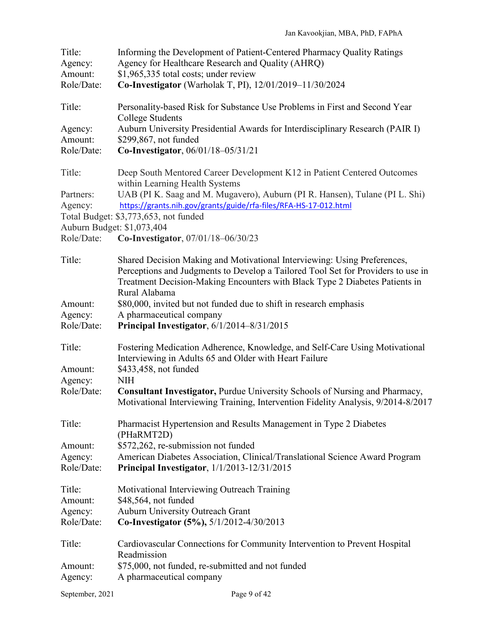| Title:<br>Agency:<br>Amount:<br>Role/Date:         | Informing the Development of Patient-Centered Pharmacy Quality Ratings<br>Agency for Healthcare Research and Quality (AHRQ)<br>\$1,965,335 total costs; under review<br>Co-Investigator (Warholak T, PI), 12/01/2019-11/30/2024                              |
|----------------------------------------------------|--------------------------------------------------------------------------------------------------------------------------------------------------------------------------------------------------------------------------------------------------------------|
| Title:                                             | Personality-based Risk for Substance Use Problems in First and Second Year<br><b>College Students</b>                                                                                                                                                        |
| Agency:<br>Amount:<br>Role/Date:                   | Auburn University Presidential Awards for Interdisciplinary Research (PAIR I)<br>\$299,867, not funded<br>Co-Investigator, 06/01/18-05/31/21                                                                                                                 |
| Title:                                             | Deep South Mentored Career Development K12 in Patient Centered Outcomes                                                                                                                                                                                      |
| Partners:<br>Agency:<br>Auburn Budget: \$1,073,404 | within Learning Health Systems<br>UAB (PI K. Saag and M. Mugavero), Auburn (PI R. Hansen), Tulane (PI L. Shi)<br>https://grants.nih.gov/grants/guide/rfa-files/RFA-HS-17-012.html<br>Total Budget: \$3,773,653, not funded                                   |
| Role/Date:                                         | Co-Investigator, 07/01/18-06/30/23                                                                                                                                                                                                                           |
| Title:                                             | Shared Decision Making and Motivational Interviewing: Using Preferences,<br>Perceptions and Judgments to Develop a Tailored Tool Set for Providers to use in<br>Treatment Decision-Making Encounters with Black Type 2 Diabetes Patients in<br>Rural Alabama |
| Amount:<br>Agency:<br>Role/Date:                   | \$80,000, invited but not funded due to shift in research emphasis<br>A pharmaceutical company<br>Principal Investigator, 6/1/2014-8/31/2015                                                                                                                 |
| Title:<br>Amount:<br>Agency:                       | Fostering Medication Adherence, Knowledge, and Self-Care Using Motivational<br>Interviewing in Adults 65 and Older with Heart Failure<br>\$433,458, not funded<br><b>NIH</b>                                                                                 |
| Role/Date:                                         | <b>Consultant Investigator, Purdue University Schools of Nursing and Pharmacy,</b><br>Motivational Interviewing Training, Intervention Fidelity Analysis, 9/2014-8/2017                                                                                      |
| Title:                                             | Pharmacist Hypertension and Results Management in Type 2 Diabetes<br>(PHaRMT2D)                                                                                                                                                                              |
| Amount:<br>Agency:<br>Role/Date:                   | \$572,262, re-submission not funded<br>American Diabetes Association, Clinical/Translational Science Award Program<br>Principal Investigator, 1/1/2013-12/31/2015                                                                                            |
| Title:<br>Amount:<br>Agency:<br>Role/Date:         | Motivational Interviewing Outreach Training<br>\$48,564, not funded<br><b>Auburn University Outreach Grant</b><br>Co-Investigator (5%), 5/1/2012-4/30/2013                                                                                                   |
| Title:<br>Amount:                                  | Cardiovascular Connections for Community Intervention to Prevent Hospital<br>Readmission<br>\$75,000, not funded, re-submitted and not funded                                                                                                                |
| Agency:                                            | A pharmaceutical company                                                                                                                                                                                                                                     |
| September, 2021                                    | Page 9 of 42                                                                                                                                                                                                                                                 |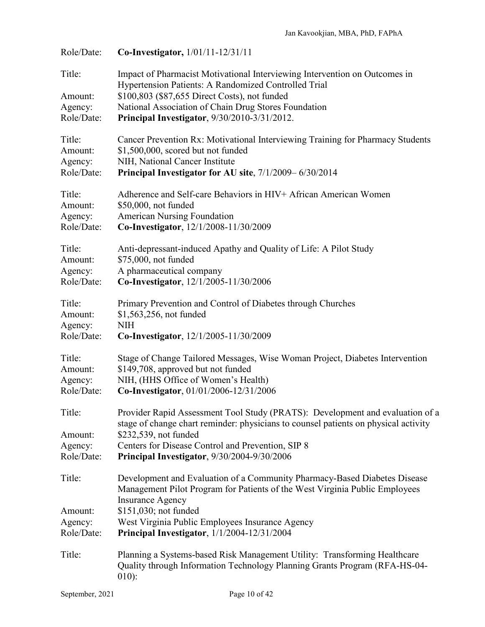| Role/Date:                                 | Co-Investigator, 1/01/11-12/31/11                                                                                                                                                                                                                                                                              |
|--------------------------------------------|----------------------------------------------------------------------------------------------------------------------------------------------------------------------------------------------------------------------------------------------------------------------------------------------------------------|
| Title:<br>Amount:<br>Agency:<br>Role/Date: | Impact of Pharmacist Motivational Interviewing Intervention on Outcomes in<br>Hypertension Patients: A Randomized Controlled Trial<br>\$100,803 (\$87,655 Direct Costs), not funded<br>National Association of Chain Drug Stores Foundation<br>Principal Investigator, 9/30/2010-3/31/2012.                    |
| Title:<br>Amount:<br>Agency:<br>Role/Date: | Cancer Prevention Rx: Motivational Interviewing Training for Pharmacy Students<br>\$1,500,000, scored but not funded<br>NIH, National Cancer Institute<br>Principal Investigator for AU site, 7/1/2009–6/30/2014                                                                                               |
| Title:<br>Amount:<br>Agency:<br>Role/Date: | Adherence and Self-care Behaviors in HIV+ African American Women<br>\$50,000, not funded<br><b>American Nursing Foundation</b><br>Co-Investigator, 12/1/2008-11/30/2009                                                                                                                                        |
| Title:<br>Amount:<br>Agency:<br>Role/Date: | Anti-depressant-induced Apathy and Quality of Life: A Pilot Study<br>\$75,000, not funded<br>A pharmaceutical company<br>Co-Investigator, 12/1/2005-11/30/2006                                                                                                                                                 |
| Title:<br>Amount:<br>Agency:<br>Role/Date: | Primary Prevention and Control of Diabetes through Churches<br>\$1,563,256, not funded<br><b>NIH</b><br>Co-Investigator, 12/1/2005-11/30/2009                                                                                                                                                                  |
| Title:<br>Amount:<br>Agency:<br>Role/Date: | Stage of Change Tailored Messages, Wise Woman Project, Diabetes Intervention<br>\$149,708, approved but not funded<br>NIH, (HHS Office of Women's Health)<br>Co-Investigator, 01/01/2006-12/31/2006                                                                                                            |
| Title:<br>Amount:<br>Agency:<br>Role/Date: | Provider Rapid Assessment Tool Study (PRATS): Development and evaluation of a<br>stage of change chart reminder: physicians to counsel patients on physical activity<br>\$232,539, not funded<br>Centers for Disease Control and Prevention, SIP 8<br>Principal Investigator, 9/30/2004-9/30/2006              |
| Title:<br>Amount:<br>Agency:<br>Role/Date: | Development and Evaluation of a Community Pharmacy-Based Diabetes Disease<br>Management Pilot Program for Patients of the West Virginia Public Employees<br><b>Insurance Agency</b><br>\$151,030; not funded<br>West Virginia Public Employees Insurance Agency<br>Principal Investigator, 1/1/2004-12/31/2004 |
| Title:                                     | Planning a Systems-based Risk Management Utility: Transforming Healthcare<br>Quality through Information Technology Planning Grants Program (RFA-HS-04-<br>$010$ :                                                                                                                                             |
| September, 2021                            | Page 10 of 42                                                                                                                                                                                                                                                                                                  |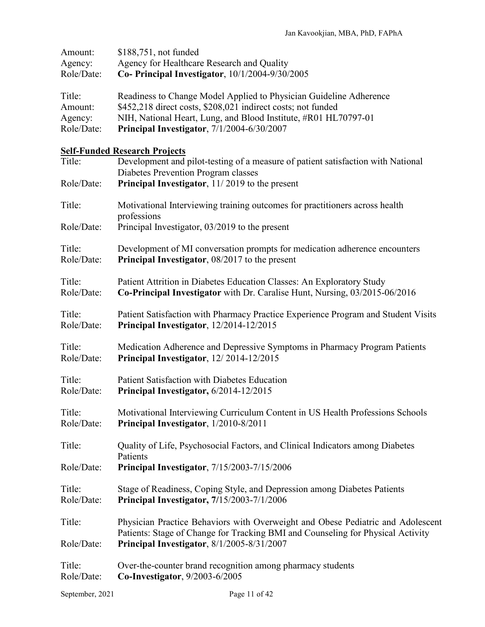| Amount:              | \$188,751, not funded                                                                                                                                                                                            |
|----------------------|------------------------------------------------------------------------------------------------------------------------------------------------------------------------------------------------------------------|
| Agency:              | Agency for Healthcare Research and Quality                                                                                                                                                                       |
| Role/Date:           | Co- Principal Investigator, 10/1/2004-9/30/2005                                                                                                                                                                  |
| Title:               | Readiness to Change Model Applied to Physician Guideline Adherence                                                                                                                                               |
| Amount:              | \$452,218 direct costs, \$208,021 indirect costs; not funded                                                                                                                                                     |
| Agency:              | NIH, National Heart, Lung, and Blood Institute, #R01 HL70797-01                                                                                                                                                  |
| Role/Date:           | Principal Investigator, 7/1/2004-6/30/2007                                                                                                                                                                       |
|                      | <b>Self-Funded Research Projects</b>                                                                                                                                                                             |
| Title:               | Development and pilot-testing of a measure of patient satisfaction with National<br>Diabetes Prevention Program classes                                                                                          |
| Role/Date:           | Principal Investigator, 11/2019 to the present                                                                                                                                                                   |
| Title:               | Motivational Interviewing training outcomes for practitioners across health<br>professions                                                                                                                       |
| Role/Date:           | Principal Investigator, 03/2019 to the present                                                                                                                                                                   |
| Title:               | Development of MI conversation prompts for medication adherence encounters                                                                                                                                       |
| Role/Date:           | Principal Investigator, 08/2017 to the present                                                                                                                                                                   |
| Title:               | Patient Attrition in Diabetes Education Classes: An Exploratory Study                                                                                                                                            |
| Role/Date:           | Co-Principal Investigator with Dr. Caralise Hunt, Nursing, 03/2015-06/2016                                                                                                                                       |
| Title:               | Patient Satisfaction with Pharmacy Practice Experience Program and Student Visits                                                                                                                                |
| Role/Date:           | Principal Investigator, 12/2014-12/2015                                                                                                                                                                          |
| Title:               | Medication Adherence and Depressive Symptoms in Pharmacy Program Patients                                                                                                                                        |
| Role/Date:           | Principal Investigator, 12/2014-12/2015                                                                                                                                                                          |
| Title:               | Patient Satisfaction with Diabetes Education                                                                                                                                                                     |
| Role/Date:           | Principal Investigator, 6/2014-12/2015                                                                                                                                                                           |
| Title:               | Motivational Interviewing Curriculum Content in US Health Professions Schools                                                                                                                                    |
| Role/Date:           | Principal Investigator, 1/2010-8/2011                                                                                                                                                                            |
| Title:               | Quality of Life, Psychosocial Factors, and Clinical Indicators among Diabetes<br>Patients                                                                                                                        |
| Role/Date:           | Principal Investigator, 7/15/2003-7/15/2006                                                                                                                                                                      |
| Title:               | Stage of Readiness, Coping Style, and Depression among Diabetes Patients                                                                                                                                         |
| Role/Date:           | Principal Investigator, 7/15/2003-7/1/2006                                                                                                                                                                       |
| Title:<br>Role/Date: | Physician Practice Behaviors with Overweight and Obese Pediatric and Adolescent<br>Patients: Stage of Change for Tracking BMI and Counseling for Physical Activity<br>Principal Investigator, 8/1/2005-8/31/2007 |
| Title:               | Over-the-counter brand recognition among pharmacy students                                                                                                                                                       |
| Role/Date:           | Co-Investigator, 9/2003-6/2005                                                                                                                                                                                   |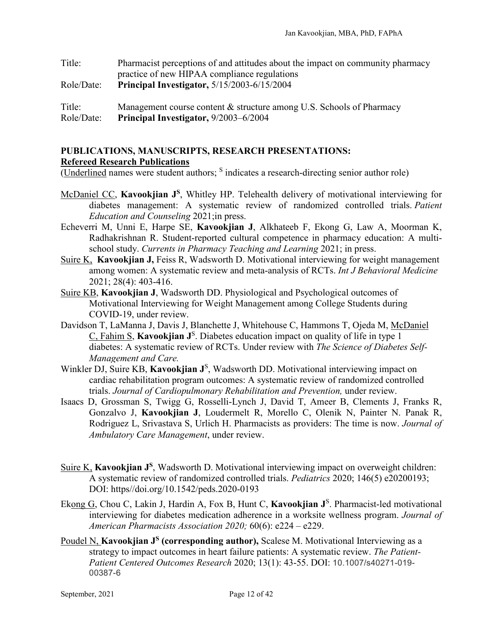| Title:     | Pharmacist perceptions of and attitudes about the impact on community pharmacy |
|------------|--------------------------------------------------------------------------------|
|            | practice of new HIPAA compliance regulations                                   |
| Role/Date: | <b>Principal Investigator, 5/15/2003-6/15/2004</b>                             |
|            |                                                                                |
| Title:     | Management course content & structure among U.S. Schools of Pharmacy           |
| Role/Date: | Principal Investigator, 9/2003–6/2004                                          |

# **PUBLICATIONS, MANUSCRIPTS, RESEARCH PRESENTATIONS: Refereed Research Publications**

(Underlined names were student authors; <sup>S</sup> indicates a research-directing senior author role)

- McDaniel CC, **Kavookjian J<sup>S</sup>**, Whitley HP. Telehealth delivery of motivational interviewing for diabetes management: A systematic review of randomized controlled trials. *Patient Education and Counseling* 2021;in press.
- Echeverri M, Unni E, Harpe SE, **Kavookjian J**, Alkhateeb F, Ekong G, Law A, Moorman K, Radhakrishnan R. Student-reported cultural competence in pharmacy education: A multischool study. *Currents in Pharmacy Teaching and Learning* 2021; in press.
- Suire K, **Kavookjian J,** Feiss R, Wadsworth D. Motivational interviewing for weight management among women: A systematic review and meta-analysis of RCTs. *Int J Behavioral Medicine* 2021; 28(4): 403-416.
- Suire KB, **Kavookjian J**, Wadsworth DD. Physiological and Psychological outcomes of Motivational Interviewing for Weight Management among College Students during COVID-19, under review.
- Davidson T, LaManna J, Davis J, Blanchette J, Whitehouse C, Hammons T, Ojeda M, McDaniel C, Fahim S, **Kavookjian J**<sup>S</sup> . Diabetes education impact on quality of life in type 1 diabetes: A systematic review of RCTs. Under review with *The Science of Diabetes Self-Management and Care.*
- Winkler DJ, Suire KB, Kavookjian J<sup>S</sup>, Wadsworth DD. Motivational interviewing impact on cardiac rehabilitation program outcomes: A systematic review of randomized controlled trials. *Journal of Cardiopulmonary Rehabilitation and Prevention,* under review.
- Isaacs D, Grossman S, Twigg G, Rosselli-Lynch J, David T, Ameer B, Clements J, Franks R, Gonzalvo J, **Kavookjian J**, Loudermelt R, Morello C, Olenik N, Painter N. Panak R, Rodriguez L, Srivastava S, Urlich H. Pharmacists as providers: The time is now. *Journal of Ambulatory Care Management*, under review.
- Suire K, **Kavookjian J<sup>S</sup>**, Wadsworth D. Motivational interviewing impact on overweight children: A systematic review of randomized controlled trials. *Pediatrics* 2020; 146(5) e20200193; DOI: https//doi.org/10.1542/peds.2020-0193
- Ekong G, Chou C, Lakin J, Hardin A, Fox B, Hunt C, Kavookjian J<sup>S</sup>. Pharmacist-led motivational interviewing for diabetes medication adherence in a worksite wellness program. *Journal of American Pharmacists Association 2020;* 60(6): e224 – e229.
- Poudel N, **Kavookjian J<sup>S</sup>** (corresponding author), Scalese M. Motivational Interviewing as a strategy to impact outcomes in heart failure patients: A systematic review. *The Patient-Patient Centered Outcomes Research* 2020; 13(1): 43-55. DOI: 10.1007/s40271-019- 00387-6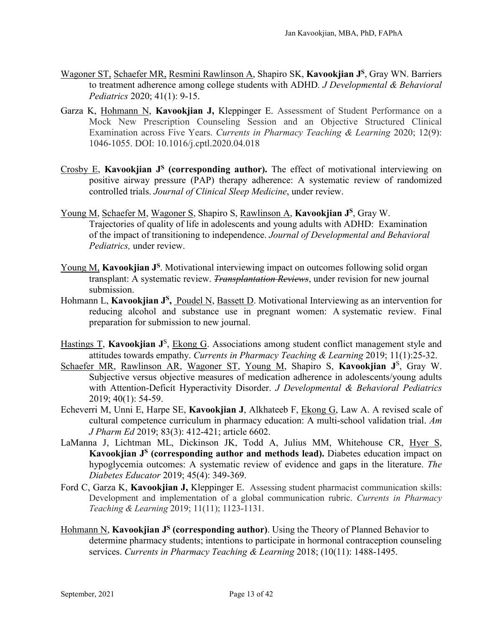- Wagoner ST, Schaefer MR, Resmini Rawlinson A, Shapiro SK, **Kavookjian JS**, Gray WN. Barriers to treatment adherence among college students with ADHD*. J Developmental & Behavioral Pediatrics* 2020; 41(1): 9-15.
- Garza K, Hohmann N, **Kavookjian J,** Kleppinger E. Assessment of Student Performance on a Mock New Prescription Counseling Session and an Objective Structured Clinical Examination across Five Years. *Currents in Pharmacy Teaching & Learning* 2020; 12(9): 1046-1055. DOI: 10.1016/j.cptl.2020.04.018
- Crosby E, **Kavookjian JS (corresponding author).** The effect of motivational interviewing on positive airway pressure (PAP) therapy adherence: A systematic review of randomized controlled trials. *Journal of Clinical Sleep Medicine*, under review.
- Young M, Schaefer M, Wagoner S, Shapiro S, Rawlinson A, **Kavookjian JS**, Gray W. Trajectories of quality of life in adolescents and young adults with ADHD: Examination of the impact of transitioning to independence. *Journal of Developmental and Behavioral Pediatrics,* under review.
- Young M, **Kavookjian J<sup>S</sup>**. Motivational interviewing impact on outcomes following solid organ transplant: A systematic review. *Transplantation Reviews*, under revision for new journal submission.
- Hohmann L, **Kavookjian J<sup>S</sup>**, Poudel N, Bassett D. Motivational Interviewing as an intervention for reducing alcohol and substance use in pregnant women: A systematic review. Final preparation for submission to new journal.
- Hastings T, Kavookjian J<sup>S</sup>, Ekong G. Associations among student conflict management style and attitudes towards empathy. *Currents in Pharmacy Teaching & Learning* 2019; 11(1):25-32.
- Schaefer MR, Rawlinson AR, Wagoner ST, Young M, Shapiro S, Kavookjian J<sup>S</sup>, Gray W. Subjective versus objective measures of medication adherence in adolescents/young adults with Attention-Deficit Hyperactivity Disorder. *J Developmental & Behavioral Pediatrics* 2019; 40(1): 54-59.
- Echeverri M, Unni E, Harpe SE, **Kavookjian J**, Alkhateeb F, Ekong G, Law A. A revised scale of cultural competence curriculum in pharmacy education: A multi-school validation trial. *Am J Pharm Ed* 2019; 83(3): 412-421; article 6602.
- LaManna J, Lichtman ML, Dickinson JK, Todd A, Julius MM, Whitehouse CR, Hyer S, **Kavookjian JS (corresponding author and methods lead).** Diabetes education impact on hypoglycemia outcomes: A systematic review of evidence and gaps in the literature. *The Diabetes Educator* 2019; 45(4): 349-369.
- Ford C, Garza K, **Kavookjian J,** Kleppinger E. Assessing student pharmacist communication skills: Development and implementation of a global communication rubric. *Currents in Pharmacy Teaching & Learning* 2019; 11(11); 1123-1131.
- Hohmann N, **Kavookjian J<sup>S</sup>** (corresponding author). Using the Theory of Planned Behavior to determine pharmacy students; intentions to participate in hormonal contraception counseling services. *Currents in Pharmacy Teaching & Learning* 2018; (10(11): 1488-1495.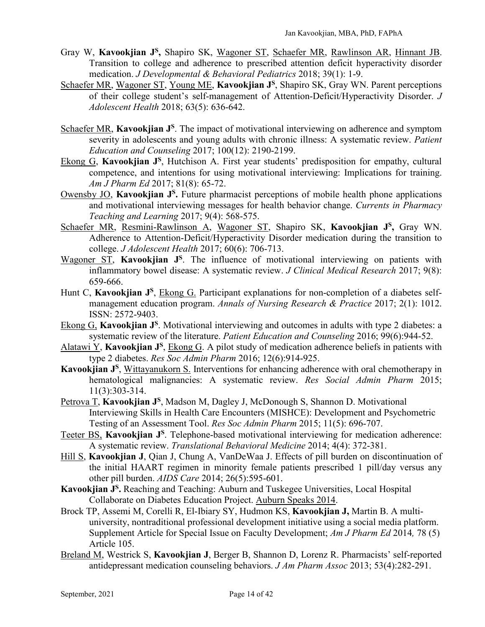- Gray W, **Kavookjian JS,** Shapiro SK, Wagoner ST, Schaefer MR, Rawlinson AR, Hinnant JB. Transition to college and adherence to prescribed attention deficit hyperactivity disorder medication. *J Developmental & Behavioral Pediatrics* 2018; 39(1): 1-9.
- Schaefer MR, Wagoner ST, Young ME, **Kavookjian J**<sup>S</sup>, Shapiro SK, Gray WN. Parent perceptions of their college student's self-management of Attention-Deficit/Hyperactivity Disorder. *J Adolescent Health* 2018; 63(5): 636-642.
- Schaefer MR, **Kavookjian J**<sup>S</sup>. The impact of motivational interviewing on adherence and symptom severity in adolescents and young adults with chronic illness: A systematic review. *Patient Education and Counseling* 2017; 100(12): 2190-2199.
- Ekong G, **Kavookiian J**<sup>S</sup>, Hutchison A. First year students' predisposition for empathy, cultural competence, and intentions for using motivational interviewing: Implications for training. *Am J Pharm Ed* 2017; 81(8): 65-72.
- Owensby JO, **Kavookjian J<sup>S</sup>**. Future pharmacist perceptions of mobile health phone applications and motivational interviewing messages for health behavior change. *Currents in Pharmacy Teaching and Learning* 2017; 9(4): 568-575.
- Schaefer MR, Resmini-Rawlinson A, Wagoner ST, Shapiro SK, **Kavookjian JS,** Gray WN. Adherence to Attention-Deficit/Hyperactivity Disorder medication during the transition to college. *J Adolescent Health* 2017; 60(6): 706-713.
- Wagoner ST, Kavookjian J<sup>S</sup>. The influence of motivational interviewing on patients with inflammatory bowel disease: A systematic review. *J Clinical Medical Research* 2017; 9(8): 659-666.
- Hunt C, **Kavookjian J**<sup>S</sup>, Ekong G. Participant explanations for non-completion of a diabetes selfmanagement education program. *Annals of Nursing Research & Practice* 2017; 2(1): 1012. ISSN: 2572-9403.
- Ekong G, **Kavookjian JS**. Motivational interviewing and outcomes in adults with type 2 diabetes: a systematic review of the literature. *Patient Education and Counseling* 2016; 99(6):944-52.
- Alatawi Y, **Kavookjian J<sup>S</sup>**, Ekong G. A pilot study of medication adherence beliefs in patients with type 2 diabetes. *Res Soc Admin Pharm* 2016; 12(6):914-925.
- **Kavookjian J<sup>S</sup>**, Wittayanukorn S. Interventions for enhancing adherence with oral chemotherapy in hematological malignancies: A systematic review. *Res Social Admin Pharm* 2015; 11(3):303-314.
- Petrova T, **Kavookjian J**<sup>S</sup>, Madson M, Dagley J, McDonough S, Shannon D. Motivational Interviewing Skills in Health Care Encounters (MISHCE): Development and Psychometric Testing of an Assessment Tool. *Res Soc Admin Pharm* 2015; 11(5): 696-707.
- Teeter BS, Kavookjian J<sup>S</sup>. Telephone-based motivational interviewing for medication adherence: A systematic review. *Translational Behavioral Medicine* 2014; 4(4): 372-381.
- Hill S, **Kavookjian J**, Qian J, Chung A, VanDeWaa J. Effects of pill burden on discontinuation of the initial HAART regimen in minority female patients prescribed 1 pill/day versus any other pill burden. *AIDS Care* 2014; 26(5):595-601.
- **Kavookjian JS.** Reaching and Teaching: Auburn and Tuskegee Universities, Local Hospital Collaborate on Diabetes Education Project. Auburn Speaks 2014.
- Brock TP, Assemi M, Corelli R, El-Ibiary SY, Hudmon KS, **Kavookjian J,** Martin B. A multiuniversity, nontraditional professional development initiative using a social media platform. Supplement Article for Special Issue on Faculty Development; *Am J Pharm Ed* 2014*,* 78 (5) Article 105.
- Breland M, Westrick S, **Kavookjian J**, Berger B, Shannon D, Lorenz R. Pharmacists' self-reported antidepressant medication counseling behaviors. *J Am Pharm Assoc* 2013; 53(4):282-291.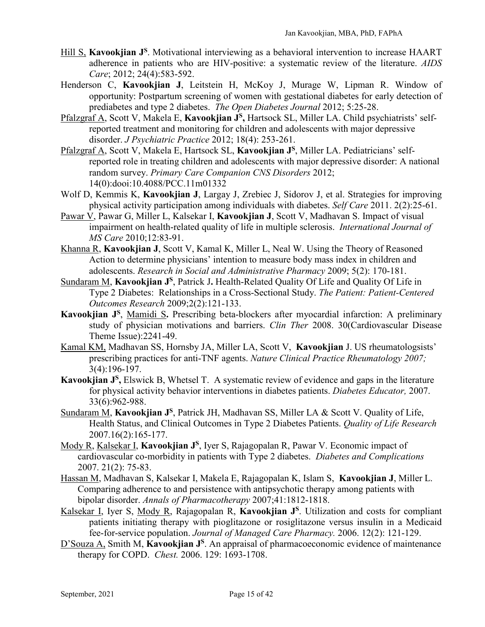- Hill S, **Kavookjian J**<sup>S</sup>. Motivational interviewing as a behavioral intervention to increase HAART adherence in patients who are HIV-positive: a systematic review of the literature. *AIDS Care*; 2012; 24(4):583-592.
- Henderson C, **Kavookjian J**, Leitstein H, McKoy J, Murage W, Lipman R. Window of opportunity: Postpartum screening of women with gestational diabetes for early detection of prediabetes and type 2 diabetes. *The Open Diabetes Journal* 2012; 5:25-28.
- Pfalzgraf A, Scott V, Makela E, **Kavookjian JS,** Hartsock SL, Miller LA. Child psychiatrists' selfreported treatment and monitoring for children and adolescents with major depressive disorder. *J Psychiatric Practice* 2012; 18(4): 253-261.
- Pfalzgraf A, Scott V, Makela E, Hartsock SL, **Kavookjian JS**, Miller LA. Pediatricians' selfreported role in treating children and adolescents with major depressive disorder: A national random survey. *Primary Care Companion CNS Disorders* 2012; 14(0):dooi:10.4088/PCC.11m01332
- Wolf D, Kemmis K, **Kavookjian J**, Largay J, Zrebiec J, Sidorov J, et al. Strategies for improving physical activity participation among individuals with diabetes. *Self Care* 2011. 2(2):25-61.
- Pawar V, Pawar G, Miller L, Kalsekar I, **Kavookjian J**, Scott V, Madhavan S. Impact of visual impairment on health-related quality of life in multiple sclerosis. *International Journal of MS Care* 2010;12:83-91.
- Khanna R, **Kavookjian J**, Scott V, Kamal K, Miller L, Neal W. Using the Theory of Reasoned Action to determine physicians' intention to measure body mass index in children and adolescents. *Research in Social and Administrative Pharmacy* 2009; 5(2): 170-181.
- Sundaram M, **Kavookjian J<sup>S</sup>**, Patrick J. Health-Related Quality Of Life and Quality Of Life in Type 2 Diabetes: Relationships in a Cross-Sectional Study. *The Patient: Patient-Centered Outcomes Research* 2009;2(2):121-133.
- **Kavookjian JS**, Mamidi S**.** Prescribing beta-blockers after myocardial infarction: A preliminary study of physician motivations and barriers. *Clin Ther* 2008. 30(Cardiovascular Disease Theme Issue):2241-49.
- Kamal KM, Madhavan SS, Hornsby JA, Miller LA, Scott V, **Kavookjian** J. US rheumatologsists' prescribing practices for anti-TNF agents. *Nature Clinical Practice Rheumatology 2007;* 3(4):196-197.
- **Kavookjian JS,** Elswick B, Whetsel T. A systematic review of evidence and gaps in the literature for physical activity behavior interventions in diabetes patients. *Diabetes Educator,* 2007. 33(6):962-988.
- Sundaram M, **Kavookjian JS**, Patrick JH, Madhavan SS, Miller LA & Scott V. Quality of Life, Health Status, and Clinical Outcomes in Type 2 Diabetes Patients. *Quality of Life Research* 2007.16(2):165-177.
- Mody R, Kalsekar I, **Kavookjian J**<sup>S</sup>, Iyer S, Rajagopalan R, Pawar V. Economic impact of cardiovascular co-morbidity in patients with Type 2 diabetes. *Diabetes and Complications* 2007. 21(2): 75-83.
- Hassan M, Madhavan S, Kalsekar I, Makela E, Rajagopalan K, Islam S, **Kavookjian J**, Miller L. Comparing adherence to and persistence with antipsychotic therapy among patients with bipolar disorder. *Annals of Pharmacotherapy* 2007;41:1812-1818.
- Kalsekar I, Iyer S, Mody R, Rajagopalan R, Kavookiian J<sup>S</sup>. Utilization and costs for compliant patients initiating therapy with pioglitazone or rosiglitazone versus insulin in a Medicaid fee-for-service population. *Journal of Managed Care Pharmacy.* 2006. 12(2): 121-129.
- D'Souza A, Smith M, **Kavookjian J**<sup>S</sup>. An appraisal of pharmacoeconomic evidence of maintenance therapy for COPD. *Chest.* 2006. 129: 1693-1708.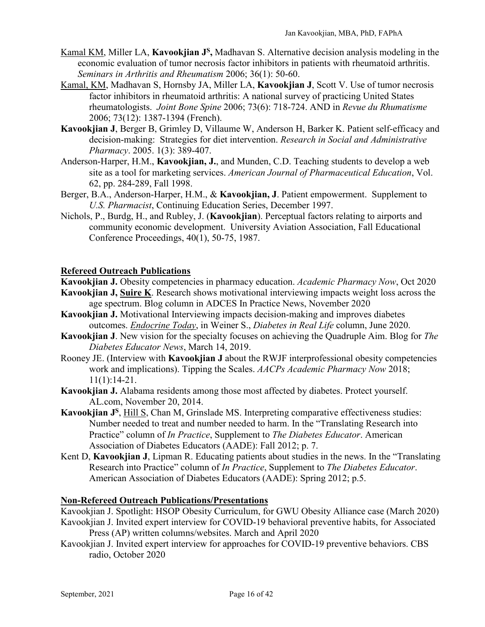- Kamal KM, Miller LA, **Kavookjian J<sup>S</sup>**, Madhavan S. Alternative decision analysis modeling in the economic evaluation of tumor necrosis factor inhibitors in patients with rheumatoid arthritis. *Seminars in Arthritis and Rheumatism* 2006; 36(1): 50-60.
- Kamal, KM, Madhavan S, Hornsby JA, Miller LA, **Kavookjian J**, Scott V. Use of tumor necrosis factor inhibitors in rheumatoid arthritis: A national survey of practicing United States rheumatologists. *Joint Bone Spine* 2006; 73(6): 718-724. AND in *Revue du Rhumatisme* 2006; 73(12): 1387-1394 (French).
- **Kavookjian J**, Berger B, Grimley D, Villaume W, Anderson H, Barker K. Patient self-efficacy and decision-making: Strategies for diet intervention. *Research in Social and Administrative Pharmacy*. 2005. 1(3): 389-407.
- Anderson-Harper, H.M., **Kavookjian, J.**, and Munden, C.D. Teaching students to develop a web site as a tool for marketing services. *American Journal of Pharmaceutical Education*, Vol. 62, pp. 284-289, Fall 1998.
- Berger, B.A., Anderson-Harper, H.M., & **Kavookjian, J**. Patient empowerment. Supplement to *U.S. Pharmacist*, Continuing Education Series, December 1997.
- Nichols, P., Burdg, H., and Rubley, J. (**Kavookjian**). Perceptual factors relating to airports and community economic development. University Aviation Association, Fall Educational Conference Proceedings, 40(1), 50-75, 1987.

# **Refereed Outreach Publications**

**Kavookjian J.** Obesity competencies in pharmacy education. *Academic Pharmacy Now*, Oct 2020

- **Kavookjian J, Suire K**. Research shows motivational interviewing impacts weight loss across the age spectrum. Blog column in ADCES In Practice News, November 2020
- **Kavookjian J.** Motivational Interviewing impacts decision-making and improves diabetes outcomes. *Endocrine Today*, in Weiner S., *Diabetes in Real Life* column, June 2020.
- **Kavookjian J**. New vision for the specialty focuses on achieving the Quadruple Aim. Blog for *The Diabetes Educator News*, March 14, 2019.
- Rooney JE. (Interview with **Kavookjian J** about the RWJF interprofessional obesity competencies work and implications). Tipping the Scales. *AACPs Academic Pharmacy Now* 2018; 11(1):14-21.
- **Kavookjian J.** Alabama residents among those most affected by diabetes. Protect yourself. AL.com, November 20, 2014.
- Kavookjian J<sup>S</sup>, Hill S, Chan M, Grinslade MS. Interpreting comparative effectiveness studies: Number needed to treat and number needed to harm. In the "Translating Research into Practice" column of *In Practice*, Supplement to *The Diabetes Educator*. American Association of Diabetes Educators (AADE): Fall 2012; p. 7.
- Kent D, **Kavookjian J**, Lipman R. Educating patients about studies in the news. In the "Translating Research into Practice" column of *In Practice*, Supplement to *The Diabetes Educator*. American Association of Diabetes Educators (AADE): Spring 2012; p.5.

### **Non-Refereed Outreach Publications/Presentations**

Kavookjian J. Spotlight: HSOP Obesity Curriculum, for GWU Obesity Alliance case (March 2020) Kavookjian J. Invited expert interview for COVID-19 behavioral preventive habits, for Associated

Press (AP) written columns/websites. March and April 2020

Kavookjian J. Invited expert interview for approaches for COVID-19 preventive behaviors. CBS radio, October 2020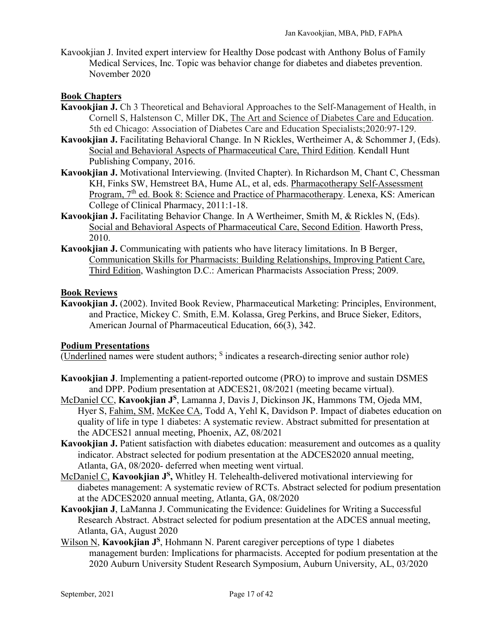Kavookjian J. Invited expert interview for Healthy Dose podcast with Anthony Bolus of Family Medical Services, Inc. Topic was behavior change for diabetes and diabetes prevention. November 2020

## **Book Chapters**

- **Kavookjian J.** Ch 3 Theoretical and Behavioral Approaches to the Self-Management of Health, in Cornell S, Halstenson C, Miller DK, The Art and Science of Diabetes Care and Education. 5th ed Chicago: Association of Diabetes Care and Education Specialists;2020:97-129.
- Kavookjian J. Facilitating Behavioral Change. In N Rickles, Wertheimer A, & Schommer J, (Eds). Social and Behavioral Aspects of Pharmaceutical Care, Third Edition. Kendall Hunt Publishing Company, 2016.
- **Kavookjian J.** Motivational Interviewing. (Invited Chapter). In Richardson M, Chant C, Chessman KH, Finks SW, Hemstreet BA, Hume AL, et al, eds. Pharmacotherapy Self-Assessment Program, 7<sup>th</sup> ed. Book 8: Science and Practice of Pharmacotherapy. Lenexa, KS: American College of Clinical Pharmacy, 2011:1-18.
- **Kavookjian J.** Facilitating Behavior Change. In A Wertheimer, Smith M, & Rickles N, (Eds). Social and Behavioral Aspects of Pharmaceutical Care, Second Edition. Haworth Press, 2010.
- **Kavookjian J.** Communicating with patients who have literacy limitations. In B Berger, Communication Skills for Pharmacists: Building Relationships, Improving Patient Care, Third Edition, Washington D.C.: American Pharmacists Association Press; 2009.

### **Book Reviews**

**Kavookjian J.** (2002). Invited Book Review, Pharmaceutical Marketing: Principles, Environment, and Practice, Mickey C. Smith, E.M. Kolassa, Greg Perkins, and Bruce Sieker, Editors, American Journal of Pharmaceutical Education, 66(3), 342.

### **Podium Presentations**

(Underlined names were student authors; <sup>S</sup> indicates a research-directing senior author role)

- **Kavookjian J**. Implementing a patient-reported outcome (PRO) to improve and sustain DSMES and DPP. Podium presentation at ADCES21, 08/2021 (meeting became virtual).
- McDaniel CC, **Kavookjian JS**, Lamanna J, Davis J, Dickinson JK, Hammons TM, Ojeda MM, Hyer S, Fahim, SM, McKee CA, Todd A, Yehl K, Davidson P. Impact of diabetes education on quality of life in type 1 diabetes: A systematic review. Abstract submitted for presentation at the ADCES21 annual meeting, Phoenix, AZ, 08/2021
- **Kavookjian J.** Patient satisfaction with diabetes education: measurement and outcomes as a quality indicator. Abstract selected for podium presentation at the ADCES2020 annual meeting, Atlanta, GA, 08/2020- deferred when meeting went virtual.
- McDaniel C, **Kavookjian J<sup>S</sup>**, Whitley H. Telehealth-delivered motivational interviewing for diabetes management: A systematic review of RCTs. Abstract selected for podium presentation at the ADCES2020 annual meeting, Atlanta, GA, 08/2020
- **Kavookjian J**, LaManna J. Communicating the Evidence: Guidelines for Writing a Successful Research Abstract. Abstract selected for podium presentation at the ADCES annual meeting, Atlanta, GA, August 2020
- Wilson N, **Kavookjian J**<sup>S</sup>, Hohmann N. Parent caregiver perceptions of type 1 diabetes management burden: Implications for pharmacists. Accepted for podium presentation at the 2020 Auburn University Student Research Symposium, Auburn University, AL, 03/2020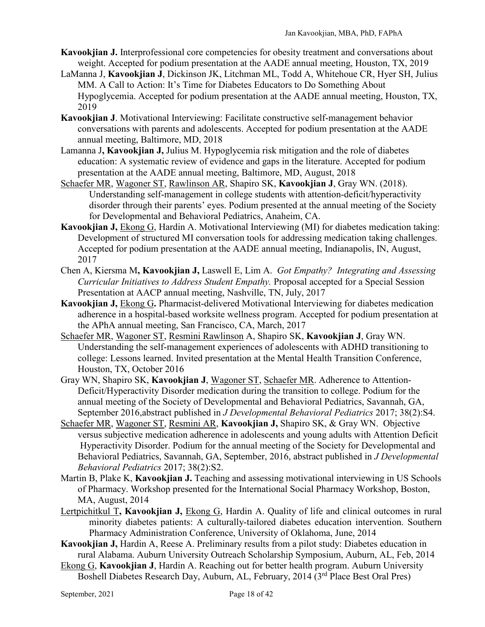- **Kavookjian J.** Interprofessional core competencies for obesity treatment and conversations about weight. Accepted for podium presentation at the AADE annual meeting, Houston, TX, 2019
- LaManna J, **Kavookjian J**, Dickinson JK, Litchman ML, Todd A, Whitehoue CR, Hyer SH, Julius MM. A Call to Action: It's Time for Diabetes Educators to Do Something About Hypoglycemia. Accepted for podium presentation at the AADE annual meeting, Houston, TX, 2019
- **Kavookjian J**. Motivational Interviewing: Facilitate constructive self-management behavior conversations with parents and adolescents. Accepted for podium presentation at the AADE annual meeting, Baltimore, MD, 2018
- Lamanna J**, Kavookjian J,** Julius M. Hypoglycemia risk mitigation and the role of diabetes education: A systematic review of evidence and gaps in the literature. Accepted for podium presentation at the AADE annual meeting, Baltimore, MD, August, 2018
- Schaefer MR, Wagoner ST, Rawlinson AR, Shapiro SK, **Kavookjian J**, Gray WN. (2018). Understanding self-management in college students with attention-deficit/hyperactivity disorder through their parents' eyes. Podium presented at the annual meeting of the Society for Developmental and Behavioral Pediatrics, Anaheim, CA.
- **Kavookjian J,** Ekong G, Hardin A. Motivational Interviewing (MI) for diabetes medication taking: Development of structured MI conversation tools for addressing medication taking challenges. Accepted for podium presentation at the AADE annual meeting, Indianapolis, IN, August, 2017
- Chen A, Kiersma M**, Kavookjian J,** Laswell E, Lim A. *Got Empathy? Integrating and Assessing Curricular Initiatives to Address Student Empathy.* Proposal accepted for a Special Session Presentation at AACP annual meeting, Nashville, TN, July, 2017
- **Kavookjian J,** Ekong G**.** Pharmacist-delivered Motivational Interviewing for diabetes medication adherence in a hospital-based worksite wellness program. Accepted for podium presentation at the APhA annual meeting, San Francisco, CA, March, 2017
- Schaefer MR, Wagoner ST, Resmini Rawlinson A, Shapiro SK, **Kavookjian J**, Gray WN. Understanding the self-management experiences of adolescents with ADHD transitioning to college: Lessons learned. Invited presentation at the Mental Health Transition Conference, Houston, TX, October 2016
- Gray WN, Shapiro SK, **Kavookjian J**, Wagoner ST, Schaefer MR. Adherence to Attention-Deficit/Hyperactivity Disorder medication during the transition to college. Podium for the annual meeting of the Society of Developmental and Behavioral Pediatrics, Savannah, GA, September 2016,abstract published in *J Developmental Behavioral Pediatrics* 2017; 38(2):S4.
- Schaefer MR, Wagoner ST, Resmini AR, **Kavookjian J,** Shapiro SK, & Gray WN. Objective versus subjective medication adherence in adolescents and young adults with Attention Deficit Hyperactivity Disorder. Podium for the annual meeting of the Society for Developmental and Behavioral Pediatrics, Savannah, GA, September, 2016, abstract published in *J Developmental Behavioral Pediatrics* 2017; 38(2):S2.
- Martin B, Plake K, **Kavookjian J.** Teaching and assessing motivational interviewing in US Schools of Pharmacy. Workshop presented for the International Social Pharmacy Workshop, Boston, MA, August, 2014
- Lertpichitkul T**, Kavookjian J,** Ekong G, Hardin A. Quality of life and clinical outcomes in rural minority diabetes patients: A culturally-tailored diabetes education intervention. Southern Pharmacy Administration Conference, University of Oklahoma, June, 2014
- **Kavookjian J,** Hardin A, Reese A. Preliminary results from a pilot study: Diabetes education in rural Alabama. Auburn University Outreach Scholarship Symposium, Auburn, AL, Feb, 2014
- Ekong G, **Kavookjian J**, Hardin A. Reaching out for better health program. Auburn University Boshell Diabetes Research Day, Auburn, AL, February, 2014 (3<sup>rd</sup> Place Best Oral Pres)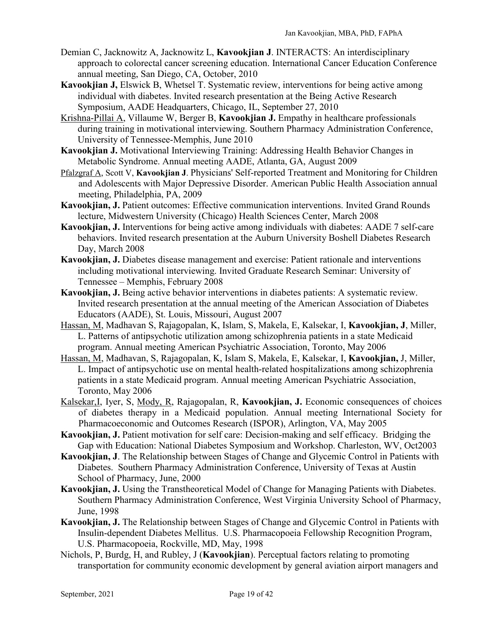- Demian C, Jacknowitz A, Jacknowitz L, **Kavookjian J**. INTERACTS: An interdisciplinary approach to colorectal cancer screening education. International Cancer Education Conference annual meeting, San Diego, CA, October, 2010
- **Kavookjian J,** Elswick B, Whetsel T. Systematic review, interventions for being active among individual with diabetes. Invited research presentation at the Being Active Research Symposium, AADE Headquarters, Chicago, IL, September 27, 2010
- Krishna-Pillai A, Villaume W, Berger B, **Kavookjian J.** Empathy in healthcare professionals during training in motivational interviewing. Southern Pharmacy Administration Conference, University of Tennessee-Memphis, June 2010
- **Kavookjian J.** Motivational Interviewing Training: Addressing Health Behavior Changes in Metabolic Syndrome. Annual meeting AADE, Atlanta, GA, August 2009
- Pfalzgraf A, Scott V, **Kavookjian J**. Physicians' Self-reported Treatment and Monitoring for Children and Adolescents with Major Depressive Disorder. American Public Health Association annual meeting, Philadelphia, PA, 2009
- **Kavookjian, J.** Patient outcomes: Effective communication interventions. Invited Grand Rounds lecture, Midwestern University (Chicago) Health Sciences Center, March 2008
- **Kavookjian, J.** Interventions for being active among individuals with diabetes: AADE 7 self-care behaviors. Invited research presentation at the Auburn University Boshell Diabetes Research Day, March 2008
- **Kavookjian, J.** Diabetes disease management and exercise: Patient rationale and interventions including motivational interviewing. Invited Graduate Research Seminar: University of Tennessee – Memphis, February 2008
- **Kavookjian, J.** Being active behavior interventions in diabetes patients: A systematic review. Invited research presentation at the annual meeting of the American Association of Diabetes Educators (AADE), St. Louis, Missouri, August 2007
- Hassan, M, Madhavan S, Rajagopalan, K, Islam, S, Makela, E, Kalsekar, I, **Kavookjian, J**, Miller, L. Patterns of antipsychotic utilization among schizophrenia patients in a state Medicaid program. Annual meeting American Psychiatric Association, Toronto, May 2006
- Hassan, M, Madhavan, S, Rajagopalan, K, Islam S, Makela, E, Kalsekar, I, **Kavookjian,** J, Miller, L. Impact of antipsychotic use on mental health-related hospitalizations among schizophrenia patients in a state Medicaid program. Annual meeting American Psychiatric Association, Toronto, May 2006
- Kalsekar,I, Iyer, S, Mody, R, Rajagopalan, R, **Kavookjian, J.** Economic consequences of choices of diabetes therapy in a Medicaid population. Annual meeting International Society for Pharmacoeconomic and Outcomes Research (ISPOR), Arlington, VA, May 2005
- **Kavookjian, J.** Patient motivation for self care: Decision-making and self efficacy. Bridging the Gap with Education: National Diabetes Symposium and Workshop. Charleston, WV, Oct2003
- **Kavookjian, J**. The Relationship between Stages of Change and Glycemic Control in Patients with Diabetes. Southern Pharmacy Administration Conference, University of Texas at Austin School of Pharmacy, June, 2000
- **Kavookjian, J.** Using the Transtheoretical Model of Change for Managing Patients with Diabetes. Southern Pharmacy Administration Conference, West Virginia University School of Pharmacy, June, 1998
- **Kavookjian, J.** The Relationship between Stages of Change and Glycemic Control in Patients with Insulin-dependent Diabetes Mellitus. U.S. Pharmacopoeia Fellowship Recognition Program, U.S. Pharmacopoeia, Rockville, MD, May, 1998
- Nichols, P, Burdg, H, and Rubley, J (**Kavookjian**). Perceptual factors relating to promoting transportation for community economic development by general aviation airport managers and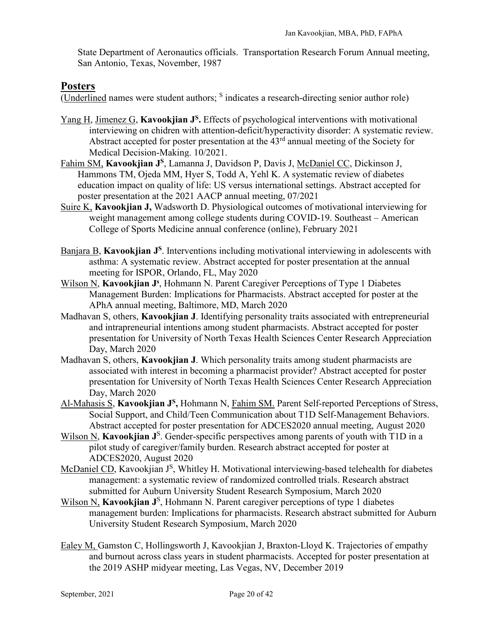State Department of Aeronautics officials. Transportation Research Forum Annual meeting, San Antonio, Texas, November, 1987

# **Posters**

 $\overline{\text{(Underlined names were student authors; }^S \text{ indicates a research-direction senior author role)}}$ 

- Yang H, Jimenez G, **Kavookjian J<sup>S</sup>**. Effects of psychological interventions with motivational interviewing on chidren with attention-deficit/hyperactivity disorder: A systematic review. Abstract accepted for poster presentation at the 43rd annual meeting of the Society for Medical Decision-Making. 10/2021.
- Fahim SM, **Kavookjian JS**, Lamanna J, Davidson P, Davis J, McDaniel CC, Dickinson J, Hammons TM, Ojeda MM, Hyer S, Todd A, Yehl K. A systematic review of diabetes education impact on quality of life: US versus international settings. Abstract accepted for poster presentation at the 2021 AACP annual meeting, 07/2021
- Suire K, **Kavookjian J,** Wadsworth D. Physiological outcomes of motivational interviewing for weight management among college students during COVID-19. Southeast – American College of Sports Medicine annual conference (online), February 2021
- Banjara B, **Kavookjian J<sup>S</sup>**. Interventions including motivational interviewing in adolescents with asthma: A systematic review. Abstract accepted for poster presentation at the annual meeting for ISPOR, Orlando, FL, May 2020
- Wilson N, Kavookjian J<sup>s</sup>, Hohmann N. Parent Caregiver Perceptions of Type 1 Diabetes Management Burden: Implications for Pharmacists. Abstract accepted for poster at the APhA annual meeting, Baltimore, MD, March 2020
- Madhavan S, others, **Kavookjian J**. Identifying personality traits associated with entrepreneurial and intrapreneurial intentions among student pharmacists. Abstract accepted for poster presentation for University of North Texas Health Sciences Center Research Appreciation Day, March 2020
- Madhavan S, others, **Kavookjian J**. Which personality traits among student pharmacists are associated with interest in becoming a pharmacist provider? Abstract accepted for poster presentation for University of North Texas Health Sciences Center Research Appreciation Day, March 2020
- Al-Mahasis S, **Kavookjian JS,** Hohmann N, Fahim SM. Parent Self-reported Perceptions of Stress, Social Support, and Child/Teen Communication about T1D Self-Management Behaviors. Abstract accepted for poster presentation for ADCES2020 annual meeting, August 2020
- Wilson N, Kavookjian J<sup>S</sup>. Gender-specific perspectives among parents of youth with T1D in a pilot study of caregiver/family burden. Research abstract accepted for poster at ADCES2020, August 2020
- McDaniel CD, Kavookjian J<sup>S</sup>, Whitley H. Motivational interviewing-based telehealth for diabetes management: a systematic review of randomized controlled trials. Research abstract submitted for Auburn University Student Research Symposium, March 2020
- Wilson N<sub>.</sub> Kavookjian J<sup>S</sup>, Hohmann N. Parent caregiver perceptions of type 1 diabetes management burden: Implications for pharmacists. Research abstract submitted for Auburn University Student Research Symposium, March 2020
- Ealey M, Gamston C, Hollingsworth J, Kavookjian J, Braxton-Lloyd K. Trajectories of empathy and burnout across class years in student pharmacists. Accepted for poster presentation at the 2019 ASHP midyear meeting, Las Vegas, NV, December 2019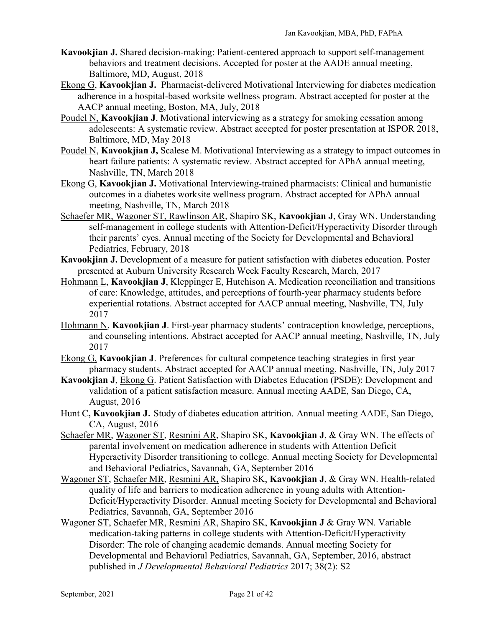- **Kavookjian J.** Shared decision-making: Patient-centered approach to support self-management behaviors and treatment decisions. Accepted for poster at the AADE annual meeting, Baltimore, MD, August, 2018
- Ekong G, **Kavookjian J.** Pharmacist-delivered Motivational Interviewing for diabetes medication adherence in a hospital-based worksite wellness program. Abstract accepted for poster at the AACP annual meeting, Boston, MA, July, 2018
- Poudel N, **Kavookjian J**. Motivational interviewing as a strategy for smoking cessation among adolescents: A systematic review. Abstract accepted for poster presentation at ISPOR 2018, Baltimore, MD, May 2018
- Poudel N, **Kavookjian J,** Scalese M. Motivational Interviewing as a strategy to impact outcomes in heart failure patients: A systematic review. Abstract accepted for APhA annual meeting, Nashville, TN, March 2018
- Ekong G, **Kavookjian J.** Motivational Interviewing-trained pharmacists: Clinical and humanistic outcomes in a diabetes worksite wellness program. Abstract accepted for APhA annual meeting, Nashville, TN, March 2018
- Schaefer MR, Wagoner ST, Rawlinson AR, Shapiro SK, **Kavookjian J**, Gray WN. Understanding self-management in college students with Attention-Deficit/Hyperactivity Disorder through their parents' eyes. Annual meeting of the Society for Developmental and Behavioral Pediatrics, February, 2018
- **Kavookjian J.** Development of a measure for patient satisfaction with diabetes education. Poster presented at Auburn University Research Week Faculty Research, March, 2017
- Hohmann L, **Kavookjian J**, Kleppinger E, Hutchison A. Medication reconciliation and transitions of care: Knowledge, attitudes, and perceptions of fourth-year pharmacy students before experiential rotations. Abstract accepted for AACP annual meeting, Nashville, TN, July 2017
- Hohmann N, **Kavookjian J**. First-year pharmacy students' contraception knowledge, perceptions, and counseling intentions. Abstract accepted for AACP annual meeting, Nashville, TN, July 2017
- Ekong G, **Kavookjian J**. Preferences for cultural competence teaching strategies in first year pharmacy students. Abstract accepted for AACP annual meeting, Nashville, TN, July 2017
- **Kavookjian J**, Ekong G. Patient Satisfaction with Diabetes Education (PSDE): Development and validation of a patient satisfaction measure. Annual meeting AADE, San Diego, CA, August, 2016
- Hunt C**, Kavookjian J**. Study of diabetes education attrition. Annual meeting AADE, San Diego, CA, August, 2016
- Schaefer MR, Wagoner ST, Resmini AR, Shapiro SK, **Kavookjian J**, & Gray WN. The effects of parental involvement on medication adherence in students with Attention Deficit Hyperactivity Disorder transitioning to college. Annual meeting Society for Developmental and Behavioral Pediatrics, Savannah, GA, September 2016
- Wagoner ST, Schaefer MR, Resmini AR, Shapiro SK, **Kavookjian J**, & Gray WN. Health-related quality of life and barriers to medication adherence in young adults with Attention-Deficit/Hyperactivity Disorder. Annual meeting Society for Developmental and Behavioral Pediatrics, Savannah, GA, September 2016
- Wagoner ST, Schaefer MR, Resmini AR, Shapiro SK, **Kavookjian J** & Gray WN. Variable medication-taking patterns in college students with Attention-Deficit/Hyperactivity Disorder: The role of changing academic demands. Annual meeting Society for Developmental and Behavioral Pediatrics, Savannah, GA, September, 2016, abstract published in *J Developmental Behavioral Pediatrics* 2017; 38(2): S2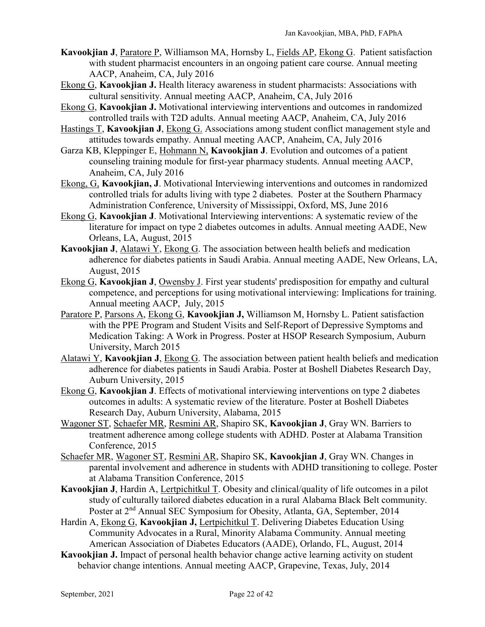- **Kavookjian J**, Paratore P, Williamson MA, Hornsby L, Fields AP, Ekong G. Patient satisfaction with student pharmacist encounters in an ongoing patient care course. Annual meeting AACP, Anaheim, CA, July 2016
- Ekong G, **Kavookjian J.** Health literacy awareness in student pharmacists: Associations with cultural sensitivity. Annual meeting AACP, Anaheim, CA, July 2016
- Ekong G, **Kavookjian J.** Motivational interviewing interventions and outcomes in randomized controlled trails with T2D adults. Annual meeting AACP, Anaheim, CA, July 2016
- Hastings T, **Kavookjian J**, Ekong G. Associations among student conflict management style and attitudes towards empathy. Annual meeting AACP, Anaheim, CA, July 2016
- Garza KB, Kleppinger E, Hohmann N, **Kavookjian J**. Evolution and outcomes of a patient counseling training module for first-year pharmacy students. Annual meeting AACP, Anaheim, CA, July 2016
- Ekong, G, **Kavookjian, J**. Motivational Interviewing interventions and outcomes in randomized controlled trials for adults living with type 2 diabetes. Poster at the Southern Pharmacy Administration Conference, University of Mississippi, Oxford, MS, June 2016
- Ekong G, **Kavookjian J**. Motivational Interviewing interventions: A systematic review of the literature for impact on type 2 diabetes outcomes in adults. Annual meeting AADE, New Orleans, LA, August, 2015
- **Kavookjian J**, Alatawi Y, Ekong G. The association between health beliefs and medication adherence for diabetes patients in Saudi Arabia. Annual meeting AADE, New Orleans, LA, August, 2015
- Ekong G, **Kavookjian J**, Owensby J. First year students' predisposition for empathy and cultural competence, and perceptions for using motivational interviewing: Implications for training. Annual meeting AACP, July, 2015
- Paratore P, Parsons A, Ekong G, **Kavookjian J,** Williamson M, Hornsby L. Patient satisfaction with the PPE Program and Student Visits and Self-Report of Depressive Symptoms and Medication Taking: A Work in Progress. Poster at HSOP Research Symposium, Auburn University, March 2015
- Alatawi Y, **Kavookjian J**, Ekong G. The association between patient health beliefs and medication adherence for diabetes patients in Saudi Arabia. Poster at Boshell Diabetes Research Day, Auburn University, 2015
- Ekong G, **Kavookjian J**. Effects of motivational interviewing interventions on type 2 diabetes outcomes in adults: A systematic review of the literature. Poster at Boshell Diabetes Research Day, Auburn University, Alabama, 2015
- Wagoner ST, Schaefer MR, Resmini AR, Shapiro SK, **Kavookjian J**, Gray WN. Barriers to treatment adherence among college students with ADHD. Poster at Alabama Transition Conference, 2015
- Schaefer MR, Wagoner ST, Resmini AR, Shapiro SK, **Kavookjian J**, Gray WN. Changes in parental involvement and adherence in students with ADHD transitioning to college. Poster at Alabama Transition Conference, 2015
- **Kavookjian J**, Hardin A, Lertpichitkul T. Obesity and clinical/quality of life outcomes in a pilot study of culturally tailored diabetes education in a rural Alabama Black Belt community. Poster at 2nd Annual SEC Symposium for Obesity, Atlanta, GA, September, 2014
- Hardin A, Ekong G, **Kavookjian J,** Lertpichitkul T. Delivering Diabetes Education Using Community Advocates in a Rural, Minority Alabama Community. Annual meeting American Association of Diabetes Educators (AADE), Orlando, FL, August, 2014
- **Kavookjian J.** Impact of personal health behavior change active learning activity on student behavior change intentions. Annual meeting AACP, Grapevine, Texas, July, 2014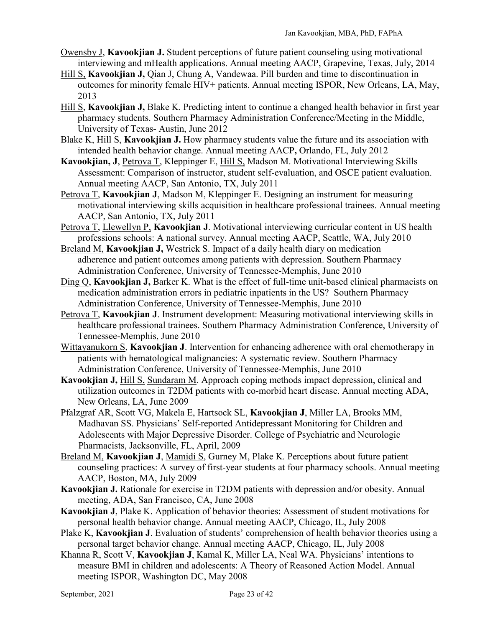- Owensby J, **Kavookjian J.** Student perceptions of future patient counseling using motivational interviewing and mHealth applications. Annual meeting AACP, Grapevine, Texas, July, 2014
- Hill S, **Kavookjian J,** Qian J, Chung A, Vandewaa. Pill burden and time to discontinuation in outcomes for minority female HIV+ patients. Annual meeting ISPOR, New Orleans, LA, May, 2013
- Hill S, **Kavookjian J,** Blake K. Predicting intent to continue a changed health behavior in first year pharmacy students. Southern Pharmacy Administration Conference/Meeting in the Middle, University of Texas- Austin, June 2012
- Blake K, Hill S, **Kavookjian J.** How pharmacy students value the future and its association with intended health behavior change. Annual meeting AACP**,** Orlando, FL, July 2012
- **Kavookjian, J**, Petrova T, Kleppinger E, Hill S, Madson M. Motivational Interviewing Skills Assessment: Comparison of instructor, student self-evaluation, and OSCE patient evaluation. Annual meeting AACP, San Antonio, TX, July 2011
- Petrova T, **Kavookjian J**, Madson M, Kleppinger E. Designing an instrument for measuring motivational interviewing skills acquisition in healthcare professional trainees. Annual meeting AACP, San Antonio, TX, July 2011
- Petrova T, Llewellyn P, **Kavookjian J**. Motivational interviewing curricular content in US health professions schools: A national survey. Annual meeting AACP, Seattle, WA, July 2010
- Breland M, **Kavookjian J,** Westrick S. Impact of a daily health diary on medication adherence and patient outcomes among patients with depression. Southern Pharmacy Administration Conference, University of Tennessee-Memphis, June 2010
- Ding Q, **Kavookjian J,** Barker K. What is the effect of full-time unit-based clinical pharmacists on medication administration errors in pediatric inpatients in the US? Southern Pharmacy Administration Conference, University of Tennessee-Memphis, June 2010
- Petrova T, **Kavookjian J**. Instrument development: Measuring motivational interviewing skills in healthcare professional trainees. Southern Pharmacy Administration Conference, University of Tennessee-Memphis, June 2010
- Wittayanukorn S, **Kavookjian J**. Intervention for enhancing adherence with oral chemotherapy in patients with hematological malignancies: A systematic review. Southern Pharmacy Administration Conference, University of Tennessee-Memphis, June 2010
- **Kavookjian J,** Hill S, Sundaram M. Approach coping methods impact depression, clinical and utilization outcomes in T2DM patients with co-morbid heart disease. Annual meeting ADA, New Orleans, LA, June 2009
- Pfalzgraf AR, Scott VG, Makela E, Hartsock SL, **Kavookjian J**, Miller LA, Brooks MM, Madhavan SS. Physicians' Self-reported Antidepressant Monitoring for Children and Adolescents with Major Depressive Disorder. College of Psychiatric and Neurologic Pharmacists, Jacksonville, FL, April, 2009
- Breland M, **Kavookjian J**, Mamidi S, Gurney M, Plake K. Perceptions about future patient counseling practices: A survey of first-year students at four pharmacy schools. Annual meeting AACP, Boston, MA, July 2009
- **Kavookjian J.** Rationale for exercise in T2DM patients with depression and/or obesity. Annual meeting, ADA, San Francisco, CA, June 2008
- **Kavookjian J**, Plake K. Application of behavior theories: Assessment of student motivations for personal health behavior change. Annual meeting AACP, Chicago, IL, July 2008
- Plake K, **Kavookjian J**. Evaluation of students' comprehension of health behavior theories using a personal target behavior change. Annual meeting AACP, Chicago, IL, July 2008
- Khanna R, Scott V, **Kavookjian J**, Kamal K, Miller LA, Neal WA. Physicians' intentions to measure BMI in children and adolescents: A Theory of Reasoned Action Model. Annual meeting ISPOR, Washington DC, May 2008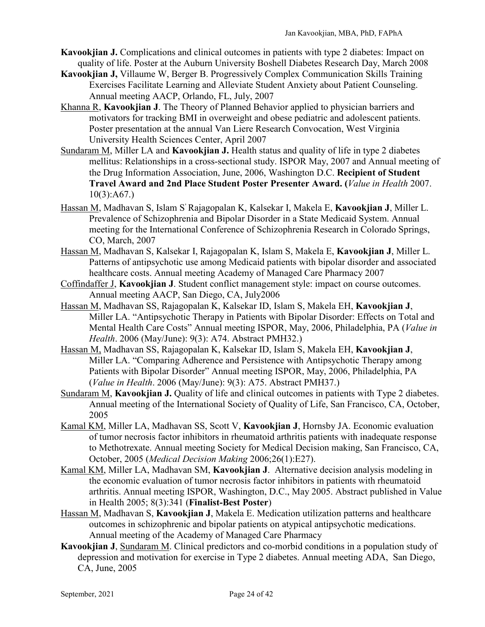- **Kavookjian J.** Complications and clinical outcomes in patients with type 2 diabetes: Impact on quality of life. Poster at the Auburn University Boshell Diabetes Research Day, March 2008
- **Kavookjian J,** Villaume W, Berger B. Progressively Complex Communication Skills Training Exercises Facilitate Learning and Alleviate Student Anxiety about Patient Counseling. Annual meeting AACP, Orlando, FL, July, 2007
- Khanna R, **Kavookjian J**. The Theory of Planned Behavior applied to physician barriers and motivators for tracking BMI in overweight and obese pediatric and adolescent patients. Poster presentation at the annual Van Liere Research Convocation, West Virginia University Health Sciences Center, April 2007
- Sundaram M, Miller LA and **Kavookjian J.** Health status and quality of life in type 2 diabetes mellitus: Relationships in a cross-sectional study. ISPOR May, 2007 and Annual meeting of the Drug Information Association, June, 2006, Washington D.C. **Recipient of Student Travel Award and 2nd Place Student Poster Presenter Award. (***Value in Health* 2007.  $10(3):A67.$
- Hassan M, Madhavan S, Islam S, Rajagopalan K, Kalsekar I, Makela E, **Kavookjian J**, Miller L. Prevalence of Schizophrenia and Bipolar Disorder in a State Medicaid System. Annual meeting for the International Conference of Schizophrenia Research in Colorado Springs, CO, March, 2007
- Hassan M, Madhavan S, Kalsekar I, Rajagopalan K, Islam S, Makela E, **Kavookjian J**, Miller L. Patterns of antipsychotic use among Medicaid patients with bipolar disorder and associated healthcare costs. Annual meeting Academy of Managed Care Pharmacy 2007
- Coffindaffer J, **Kavookjian J**. Student conflict management style: impact on course outcomes. Annual meeting AACP, San Diego, CA, July2006
- Hassan M, Madhavan SS, Rajagopalan K, Kalsekar ID, Islam S, Makela EH, **Kavookjian J**, Miller LA. "Antipsychotic Therapy in Patients with Bipolar Disorder: Effects on Total and Mental Health Care Costs" Annual meeting ISPOR, May, 2006, Philadelphia, PA (*Value in Health*. 2006 (May/June): 9(3): A74. Abstract PMH32.)
- Hassan M, Madhavan SS, Rajagopalan K, Kalsekar ID, Islam S, Makela EH, **Kavookjian J**, Miller LA. "Comparing Adherence and Persistence with Antipsychotic Therapy among Patients with Bipolar Disorder" Annual meeting ISPOR, May, 2006, Philadelphia, PA (*Value in Health*. 2006 (May/June): 9(3): A75. Abstract PMH37.)
- Sundaram M, **Kavookjian J.** Quality of life and clinical outcomes in patients with Type 2 diabetes. Annual meeting of the International Society of Quality of Life, San Francisco, CA, October, 2005
- Kamal KM, Miller LA, Madhavan SS, Scott V, **Kavookjian J**, Hornsby JA. Economic evaluation of tumor necrosis factor inhibitors in rheumatoid arthritis patients with inadequate response to Methotrexate. Annual meeting Society for Medical Decision making, San Francisco, CA, October, 2005 (*Medical Decision Making* 2006;26(1):E27).
- Kamal KM, Miller LA, Madhavan SM, **Kavookjian J**. Alternative decision analysis modeling in the economic evaluation of tumor necrosis factor inhibitors in patients with rheumatoid arthritis. Annual meeting ISPOR, Washington, D.C., May 2005. Abstract published in Value in Health 2005; 8(3):341 (**Finalist-Best Poster**)
- Hassan M, Madhavan S, **Kavookjian J**, Makela E. Medication utilization patterns and healthcare outcomes in schizophrenic and bipolar patients on atypical antipsychotic medications. Annual meeting of the Academy of Managed Care Pharmacy
- **Kavookjian J**, Sundaram M. Clinical predictors and co-morbid conditions in a population study of depression and motivation for exercise in Type 2 diabetes. Annual meeting ADA, San Diego, CA, June, 2005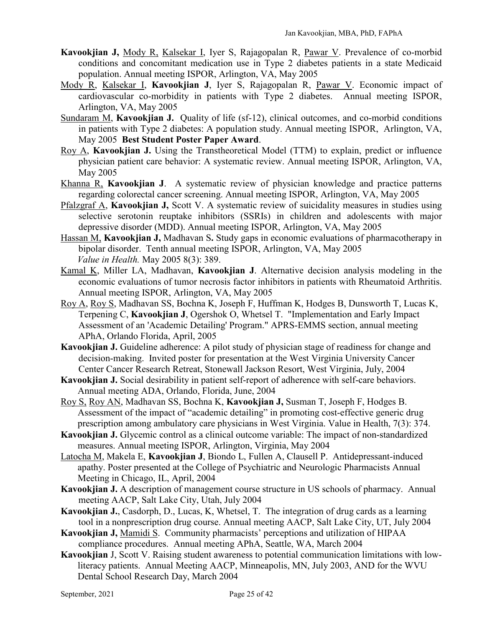- **Kavookjian J,** Mody R, Kalsekar I, Iyer S, Rajagopalan R, Pawar V. Prevalence of co-morbid conditions and concomitant medication use in Type 2 diabetes patients in a state Medicaid population. Annual meeting ISPOR, Arlington, VA, May 2005
- Mody R, Kalsekar I, **Kavookjian J**, Iyer S, Rajagopalan R, Pawar V. Economic impact of cardiovascular co-morbidity in patients with Type 2 diabetes. Annual meeting ISPOR, Arlington, VA, May 2005
- Sundaram M, **Kavookjian J.** Quality of life (sf-12), clinical outcomes, and co-morbid conditions in patients with Type 2 diabetes: A population study. Annual meeting ISPOR, Arlington, VA, May 2005 **Best Student Poster Paper Award**.
- Roy A, **Kavookjian J.** Using the Transtheoretical Model (TTM) to explain, predict or influence physician patient care behavior: A systematic review. Annual meeting ISPOR, Arlington, VA, May 2005
- Khanna R, **Kavookjian J**. A systematic review of physician knowledge and practice patterns regarding colorectal cancer screening. Annual meeting ISPOR, Arlington, VA, May 2005
- Pfalzgraf A, **Kavookjian J,** Scott V. A systematic review of suicidality measures in studies using selective serotonin reuptake inhibitors (SSRIs) in children and adolescents with major depressive disorder (MDD). Annual meeting ISPOR, Arlington, VA, May 2005
- Hassan M, **Kavookjian J,** Madhavan S**.** Study gaps in economic evaluations of pharmacotherapy in bipolar disorder. Tenth annual meeting ISPOR, Arlington, VA, May 2005  *Value in Health.* May 2005 8(3): 389.
- Kamal K, Miller LA, Madhavan, **Kavookjian J**. Alternative decision analysis modeling in the economic evaluations of tumor necrosis factor inhibitors in patients with Rheumatoid Arthritis. Annual meeting ISPOR, Arlington, VA, May 2005
- Roy A, Roy S, Madhavan SS, Bochna K, Joseph F, Huffman K, Hodges B, Dunsworth T, Lucas K, Terpening C, **Kavookjian J**, Ogershok O, Whetsel T. "Implementation and Early Impact Assessment of an 'Academic Detailing' Program." APRS-EMMS section, annual meeting APhA, Orlando Florida, April, 2005
- **Kavookjian J.** Guideline adherence: A pilot study of physician stage of readiness for change and decision-making. Invited poster for presentation at the West Virginia University Cancer Center Cancer Research Retreat, Stonewall Jackson Resort, West Virginia, July, 2004
- **Kavookjian J.** Social desirability in patient self-report of adherence with self-care behaviors. Annual meeting ADA, Orlando, Florida, June, 2004
- Roy S, Roy AN, Madhavan SS, Bochna K, **Kavookjian J,** Susman T, Joseph F, Hodges B. Assessment of the impact of "academic detailing" in promoting cost-effective generic drug prescription among ambulatory care physicians in West Virginia. Value in Health, 7(3): 374.
- **Kavookjian J.** Glycemic control as a clinical outcome variable: The impact of non-standardized measures. Annual meeting ISPOR, Arlington, Virginia, May 2004
- Latocha M, Makela E, **Kavookjian J**, Biondo L, Fullen A, Clausell P. Antidepressant-induced apathy. Poster presented at the College of Psychiatric and Neurologic Pharmacists Annual Meeting in Chicago, IL, April, 2004
- **Kavookjian J.** A description of management course structure in US schools of pharmacy. Annual meeting AACP, Salt Lake City, Utah, July 2004
- **Kavookjian J.**, Casdorph, D., Lucas, K, Whetsel, T. The integration of drug cards as a learning tool in a nonprescription drug course. Annual meeting AACP, Salt Lake City, UT, July 2004
- **Kavookjian J,** Mamidi S. Community pharmacists' perceptions and utilization of HIPAA compliance procedures. Annual meeting APhA, Seattle, WA, March 2004
- **Kavookjian** J, Scott V. Raising student awareness to potential communication limitations with lowliteracy patients. Annual Meeting AACP, Minneapolis, MN, July 2003, AND for the WVU Dental School Research Day, March 2004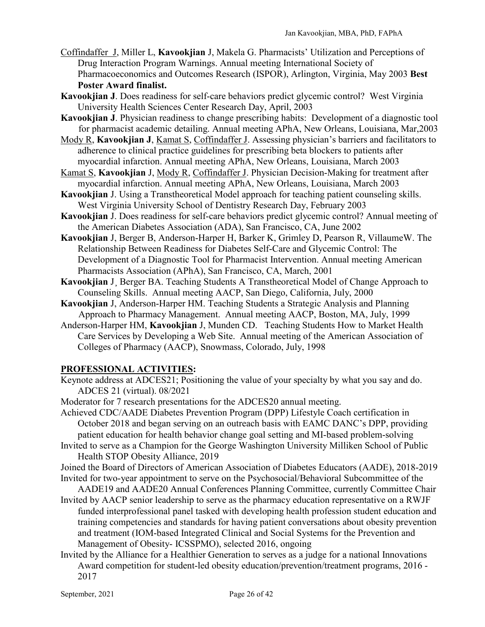- Coffindaffer J, Miller L, **Kavookjian** J, Makela G. Pharmacists' Utilization and Perceptions of Drug Interaction Program Warnings. Annual meeting International Society of Pharmacoeconomics and Outcomes Research (ISPOR), Arlington, Virginia, May 2003 **Best Poster Award finalist.**
- **Kavookjian J**. Does readiness for self-care behaviors predict glycemic control? West Virginia University Health Sciences Center Research Day, April, 2003
- **Kavookjian J**. Physician readiness to change prescribing habits: Development of a diagnostic tool for pharmacist academic detailing. Annual meeting APhA, New Orleans, Louisiana, Mar,2003
- Mody R, **Kavookjian J**, Kamat S, Coffindaffer J. Assessing physician's barriers and facilitators to adherence to clinical practice guidelines for prescribing beta blockers to patients after myocardial infarction. Annual meeting APhA, New Orleans, Louisiana, March 2003
- Kamat S, **Kavookjian** J, Mody R, Coffindaffer J. Physician Decision-Making for treatment after myocardial infarction. Annual meeting APhA, New Orleans, Louisiana, March 2003
- **Kavookjian** J. Using a Transtheoretical Model approach for teaching patient counseling skills. West Virginia University School of Dentistry Research Day, February 2003
- **Kavookjian** J. Does readiness for self-care behaviors predict glycemic control? Annual meeting of the American Diabetes Association (ADA), San Francisco, CA, June 2002
- **Kavookjian** J, Berger B, Anderson-Harper H, Barker K, Grimley D, Pearson R, VillaumeW. The Relationship Between Readiness for Diabetes Self-Care and Glycemic Control: The Development of a Diagnostic Tool for Pharmacist Intervention. Annual meeting American Pharmacists Association (APhA), San Francisco, CA, March, 2001
- **Kavookjian** J¸ Berger BA. Teaching Students A Transtheoretical Model of Change Approach to Counseling Skills. Annual meeting AACP, San Diego, California, July, 2000
- **Kavookjian** J, Anderson-Harper HM. Teaching Students a Strategic Analysis and Planning Approach to Pharmacy Management. Annual meeting AACP, Boston, MA, July, 1999
- Anderson-Harper HM, **Kavookjian** J, Munden CD. Teaching Students How to Market Health Care Services by Developing a Web Site. Annual meeting of the American Association of Colleges of Pharmacy (AACP), Snowmass, Colorado, July, 1998

# **PROFESSIONAL ACTIVITIES:**

- Keynote address at ADCES21; Positioning the value of your specialty by what you say and do. ADCES 21 (virtual). 08/2021
- Moderator for 7 research presentations for the ADCES20 annual meeting.

Achieved CDC/AADE Diabetes Prevention Program (DPP) Lifestyle Coach certification in October 2018 and began serving on an outreach basis with EAMC DANC's DPP, providing patient education for health behavior change goal setting and MI-based problem-solving

Invited to serve as a Champion for the George Washington University Milliken School of Public Health STOP Obesity Alliance, 2019

Joined the Board of Directors of American Association of Diabetes Educators (AADE), 2018-2019 Invited for two-year appointment to serve on the Psychosocial/Behavioral Subcommittee of the

- AADE19 and AADE20 Annual Conferences Planning Committee, currently Committee Chair Invited by AACP senior leadership to serve as the pharmacy education representative on a RWJF funded interprofessional panel tasked with developing health profession student education and training competencies and standards for having patient conversations about obesity prevention and treatment (IOM-based Integrated Clinical and Social Systems for the Prevention and Management of Obesity- ICSSPMO), selected 2016, ongoing
- Invited by the Alliance for a Healthier Generation to serves as a judge for a national Innovations Award competition for student-led obesity education/prevention/treatment programs, 2016 - 2017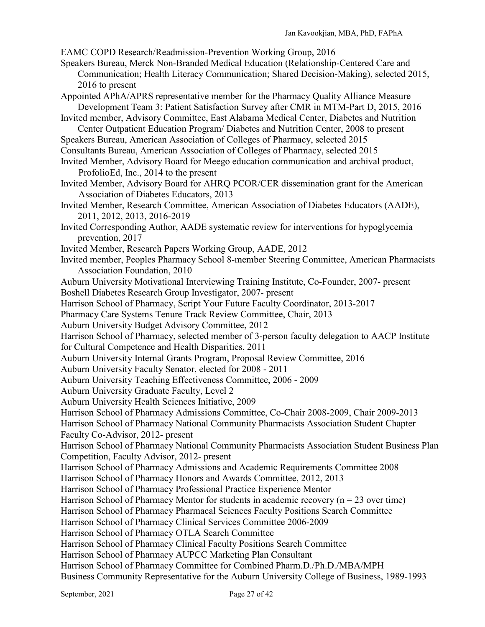EAMC COPD Research/Readmission-Prevention Working Group, 2016

- Speakers Bureau, Merck Non-Branded Medical Education (Relationship-Centered Care and Communication; Health Literacy Communication; Shared Decision-Making), selected 2015, 2016 to present
- Appointed APhA/APRS representative member for the Pharmacy Quality Alliance Measure Development Team 3: Patient Satisfaction Survey after CMR in MTM-Part D, 2015, 2016
- Invited member, Advisory Committee, East Alabama Medical Center, Diabetes and Nutrition Center Outpatient Education Program/ Diabetes and Nutrition Center, 2008 to present
- Speakers Bureau, American Association of Colleges of Pharmacy, selected 2015
- Consultants Bureau, American Association of Colleges of Pharmacy, selected 2015
- Invited Member, Advisory Board for Meego education communication and archival product, ProfolioEd, Inc., 2014 to the present
- Invited Member, Advisory Board for AHRQ PCOR/CER dissemination grant for the American Association of Diabetes Educators, 2013
- Invited Member, Research Committee, American Association of Diabetes Educators (AADE), 2011, 2012, 2013, 2016-2019
- Invited Corresponding Author, AADE systematic review for interventions for hypoglycemia prevention, 2017
- Invited Member, Research Papers Working Group, AADE, 2012
- Invited member, Peoples Pharmacy School 8-member Steering Committee, American Pharmacists Association Foundation, 2010
- Auburn University Motivational Interviewing Training Institute, Co-Founder, 2007- present Boshell Diabetes Research Group Investigator, 2007- present
- Harrison School of Pharmacy, Script Your Future Faculty Coordinator, 2013-2017
- Pharmacy Care Systems Tenure Track Review Committee, Chair, 2013
- Auburn University Budget Advisory Committee, 2012
- Harrison School of Pharmacy, selected member of 3-person faculty delegation to AACP Institute for Cultural Competence and Health Disparities, 2011
- Auburn University Internal Grants Program, Proposal Review Committee, 2016
- Auburn University Faculty Senator, elected for 2008 2011
- Auburn University Teaching Effectiveness Committee, 2006 2009
- Auburn University Graduate Faculty, Level 2
- Auburn University Health Sciences Initiative, 2009
- Harrison School of Pharmacy Admissions Committee, Co-Chair 2008-2009, Chair 2009-2013
- Harrison School of Pharmacy National Community Pharmacists Association Student Chapter
- Faculty Co-Advisor, 2012- present
- Harrison School of Pharmacy National Community Pharmacists Association Student Business Plan Competition, Faculty Advisor, 2012- present
- Harrison School of Pharmacy Admissions and Academic Requirements Committee 2008
- Harrison School of Pharmacy Honors and Awards Committee, 2012, 2013
- Harrison School of Pharmacy Professional Practice Experience Mentor
- Harrison School of Pharmacy Mentor for students in academic recovery  $(n = 23$  over time)
- Harrison School of Pharmacy Pharmacal Sciences Faculty Positions Search Committee
- Harrison School of Pharmacy Clinical Services Committee 2006-2009
- Harrison School of Pharmacy OTLA Search Committee
- Harrison School of Pharmacy Clinical Faculty Positions Search Committee
- Harrison School of Pharmacy AUPCC Marketing Plan Consultant
- Harrison School of Pharmacy Committee for Combined Pharm.D./Ph.D./MBA/MPH
- Business Community Representative for the Auburn University College of Business, 1989-1993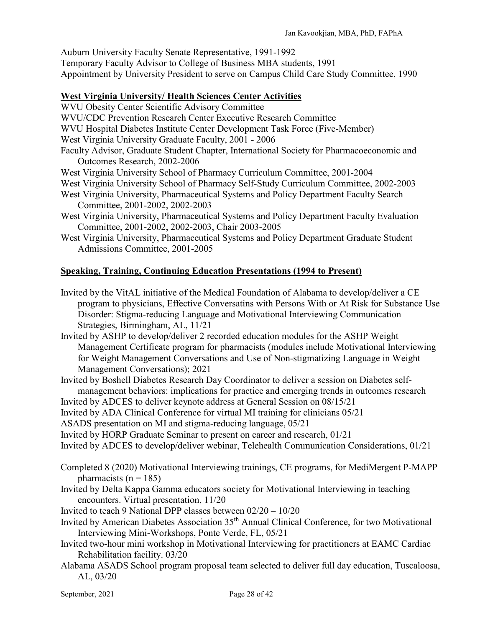Auburn University Faculty Senate Representative, 1991-1992 Temporary Faculty Advisor to College of Business MBA students, 1991 Appointment by University President to serve on Campus Child Care Study Committee, 1990

### **West Virginia University/ Health Sciences Center Activities**

- WVU Obesity Center Scientific Advisory Committee
- WVU/CDC Prevention Research Center Executive Research Committee
- WVU Hospital Diabetes Institute Center Development Task Force (Five-Member)
- West Virginia University Graduate Faculty, 2001 2006
- Faculty Advisor, Graduate Student Chapter, International Society for Pharmacoeconomic and Outcomes Research, 2002-2006
- West Virginia University School of Pharmacy Curriculum Committee, 2001-2004
- West Virginia University School of Pharmacy Self-Study Curriculum Committee, 2002-2003
- West Virginia University, Pharmaceutical Systems and Policy Department Faculty Search Committee, 2001-2002, 2002-2003
- West Virginia University, Pharmaceutical Systems and Policy Department Faculty Evaluation Committee, 2001-2002, 2002-2003, Chair 2003-2005
- West Virginia University, Pharmaceutical Systems and Policy Department Graduate Student Admissions Committee, 2001-2005

# **Speaking, Training, Continuing Education Presentations (1994 to Present)**

- Invited by the VitAL initiative of the Medical Foundation of Alabama to develop/deliver a CE program to physicians, Effective Conversatins with Persons With or At Risk for Substance Use Disorder: Stigma-reducing Language and Motivational Interviewing Communication Strategies, Birmingham, AL, 11/21
- Invited by ASHP to develop/deliver 2 recorded education modules for the ASHP Weight Management Certificate program for pharmacists (modules include Motivational Interviewing for Weight Management Conversations and Use of Non-stigmatizing Language in Weight Management Conversations); 2021
- Invited by Boshell Diabetes Research Day Coordinator to deliver a session on Diabetes selfmanagement behaviors: implications for practice and emerging trends in outcomes research
- Invited by ADCES to deliver keynote address at General Session on 08/15/21
- Invited by ADA Clinical Conference for virtual MI training for clinicians 05/21
- ASADS presentation on MI and stigma-reducing language, 05/21
- Invited by HORP Graduate Seminar to present on career and research, 01/21
- Invited by ADCES to develop/deliver webinar, Telehealth Communication Considerations, 01/21
- Completed 8 (2020) Motivational Interviewing trainings, CE programs, for MediMergent P-MAPP pharmacists ( $n = 185$ )
- Invited by Delta Kappa Gamma educators society for Motivational Interviewing in teaching encounters. Virtual presentation, 11/20
- Invited to teach 9 National DPP classes between 02/20 10/20
- Invited by American Diabetes Association 35th Annual Clinical Conference, for two Motivational Interviewing Mini-Workshops, Ponte Verde, FL, 05/21
- Invited two-hour mini workshop in Motivational Interviewing for practitioners at EAMC Cardiac Rehabilitation facility. 03/20
- Alabama ASADS School program proposal team selected to deliver full day education, Tuscaloosa, AL, 03/20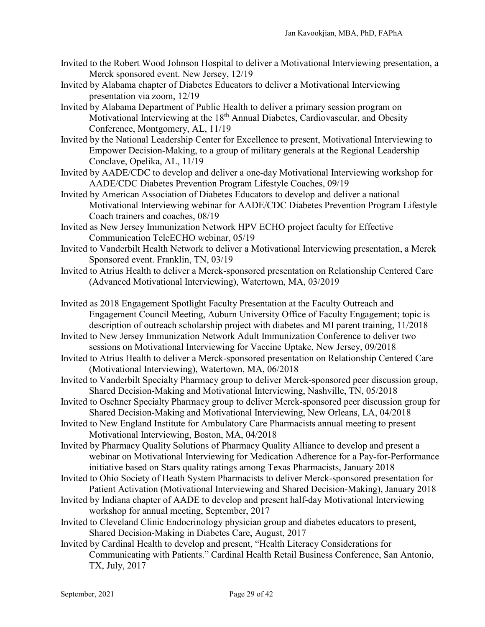- Invited to the Robert Wood Johnson Hospital to deliver a Motivational Interviewing presentation, a Merck sponsored event. New Jersey, 12/19
- Invited by Alabama chapter of Diabetes Educators to deliver a Motivational Interviewing presentation via zoom, 12/19
- Invited by Alabama Department of Public Health to deliver a primary session program on Motivational Interviewing at the 18<sup>th</sup> Annual Diabetes, Cardiovascular, and Obesity Conference, Montgomery, AL, 11/19
- Invited by the National Leadership Center for Excellence to present, Motivational Interviewing to Empower Decision-Making, to a group of military generals at the Regional Leadership Conclave, Opelika, AL, 11/19
- Invited by AADE/CDC to develop and deliver a one-day Motivational Interviewing workshop for AADE/CDC Diabetes Prevention Program Lifestyle Coaches, 09/19
- Invited by American Association of Diabetes Educators to develop and deliver a national Motivational Interviewing webinar for AADE/CDC Diabetes Prevention Program Lifestyle Coach trainers and coaches, 08/19
- Invited as New Jersey Immunization Network HPV ECHO project faculty for Effective Communication TeleECHO webinar, 05/19
- Invited to Vanderbilt Health Network to deliver a Motivational Interviewing presentation, a Merck Sponsored event. Franklin, TN, 03/19
- Invited to Atrius Health to deliver a Merck-sponsored presentation on Relationship Centered Care (Advanced Motivational Interviewing), Watertown, MA, 03/2019
- Invited as 2018 Engagement Spotlight Faculty Presentation at the Faculty Outreach and Engagement Council Meeting, Auburn University Office of Faculty Engagement; topic is description of outreach scholarship project with diabetes and MI parent training, 11/2018
- Invited to New Jersey Immunization Network Adult Immunization Conference to deliver two sessions on Motivational Interviewing for Vaccine Uptake, New Jersey, 09/2018
- Invited to Atrius Health to deliver a Merck-sponsored presentation on Relationship Centered Care (Motivational Interviewing), Watertown, MA, 06/2018
- Invited to Vanderbilt Specialty Pharmacy group to deliver Merck-sponsored peer discussion group, Shared Decision-Making and Motivational Interviewing, Nashville, TN, 05/2018
- Invited to Oschner Specialty Pharmacy group to deliver Merck-sponsored peer discussion group for Shared Decision-Making and Motivational Interviewing, New Orleans, LA, 04/2018
- Invited to New England Institute for Ambulatory Care Pharmacists annual meeting to present Motivational Interviewing, Boston, MA, 04/2018
- Invited by Pharmacy Quality Solutions of Pharmacy Quality Alliance to develop and present a webinar on Motivational Interviewing for Medication Adherence for a Pay-for-Performance initiative based on Stars quality ratings among Texas Pharmacists, January 2018
- Invited to Ohio Society of Heath System Pharmacists to deliver Merck-sponsored presentation for Patient Activation (Motivational Interviewing and Shared Decision-Making), January 2018
- Invited by Indiana chapter of AADE to develop and present half-day Motivational Interviewing workshop for annual meeting, September, 2017
- Invited to Cleveland Clinic Endocrinology physician group and diabetes educators to present, Shared Decision-Making in Diabetes Care, August, 2017
- Invited by Cardinal Health to develop and present, "Health Literacy Considerations for Communicating with Patients." Cardinal Health Retail Business Conference, San Antonio, TX, July, 2017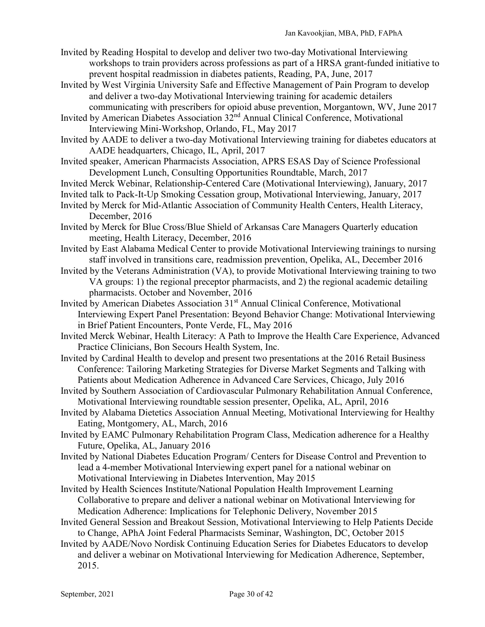- Invited by Reading Hospital to develop and deliver two two-day Motivational Interviewing workshops to train providers across professions as part of a HRSA grant-funded initiative to prevent hospital readmission in diabetes patients, Reading, PA, June, 2017
- Invited by West Virginia University Safe and Effective Management of Pain Program to develop and deliver a two-day Motivational Interviewing training for academic detailers communicating with prescribers for opioid abuse prevention, Morgantown, WV, June 2017
- Invited by American Diabetes Association 32nd Annual Clinical Conference, Motivational Interviewing Mini-Workshop, Orlando, FL, May 2017
- Invited by AADE to deliver a two-day Motivational Interviewing training for diabetes educators at AADE headquarters, Chicago, IL, April, 2017
- Invited speaker, American Pharmacists Association, APRS ESAS Day of Science Professional Development Lunch, Consulting Opportunities Roundtable, March, 2017
- Invited Merck Webinar, Relationship-Centered Care (Motivational Interviewing), January, 2017
- Invited talk to Pack-It-Up Smoking Cessation group, Motivational Interviewing, January, 2017
- Invited by Merck for Mid-Atlantic Association of Community Health Centers, Health Literacy, December, 2016
- Invited by Merck for Blue Cross/Blue Shield of Arkansas Care Managers Quarterly education meeting, Health Literacy, December, 2016
- Invited by East Alabama Medical Center to provide Motivational Interviewing trainings to nursing staff involved in transitions care, readmission prevention, Opelika, AL, December 2016
- Invited by the Veterans Administration (VA), to provide Motivational Interviewing training to two VA groups: 1) the regional preceptor pharmacists, and 2) the regional academic detailing pharmacists. October and November, 2016
- Invited by American Diabetes Association 31<sup>st</sup> Annual Clinical Conference, Motivational Interviewing Expert Panel Presentation: Beyond Behavior Change: Motivational Interviewing in Brief Patient Encounters, Ponte Verde, FL, May 2016
- Invited Merck Webinar, Health Literacy: A Path to Improve the Health Care Experience, Advanced Practice Clinicians, Bon Secours Health System, Inc.
- Invited by Cardinal Health to develop and present two presentations at the 2016 Retail Business Conference: Tailoring Marketing Strategies for Diverse Market Segments and Talking with Patients about Medication Adherence in Advanced Care Services, Chicago, July 2016
- Invited by Southern Association of Cardiovascular Pulmonary Rehabilitation Annual Conference, Motivational Interviewing roundtable session presenter, Opelika, AL, April, 2016
- Invited by Alabama Dietetics Association Annual Meeting, Motivational Interviewing for Healthy Eating, Montgomery, AL, March, 2016
- Invited by EAMC Pulmonary Rehabilitation Program Class, Medication adherence for a Healthy Future, Opelika, AL, January 2016
- Invited by National Diabetes Education Program/ Centers for Disease Control and Prevention to lead a 4-member Motivational Interviewing expert panel for a national webinar on Motivational Interviewing in Diabetes Intervention, May 2015
- Invited by Health Sciences Institute/National Population Health Improvement Learning Collaborative to prepare and deliver a national webinar on Motivational Interviewing for Medication Adherence: Implications for Telephonic Delivery, November 2015
- Invited General Session and Breakout Session, Motivational Interviewing to Help Patients Decide to Change, APhA Joint Federal Pharmacists Seminar, Washington, DC, October 2015
- Invited by AADE/Novo Nordisk Continuing Education Series for Diabetes Educators to develop and deliver a webinar on Motivational Interviewing for Medication Adherence, September, 2015.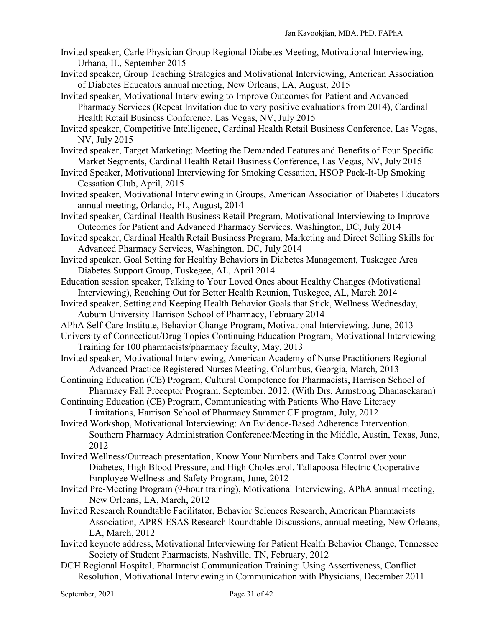- Invited speaker, Carle Physician Group Regional Diabetes Meeting, Motivational Interviewing, Urbana, IL, September 2015
- Invited speaker, Group Teaching Strategies and Motivational Interviewing, American Association of Diabetes Educators annual meeting, New Orleans, LA, August, 2015
- Invited speaker, Motivational Interviewing to Improve Outcomes for Patient and Advanced Pharmacy Services (Repeat Invitation due to very positive evaluations from 2014), Cardinal Health Retail Business Conference, Las Vegas, NV, July 2015
- Invited speaker, Competitive Intelligence, Cardinal Health Retail Business Conference, Las Vegas, NV, July 2015
- Invited speaker, Target Marketing: Meeting the Demanded Features and Benefits of Four Specific Market Segments, Cardinal Health Retail Business Conference, Las Vegas, NV, July 2015
- Invited Speaker, Motivational Interviewing for Smoking Cessation, HSOP Pack-It-Up Smoking Cessation Club, April, 2015
- Invited speaker, Motivational Interviewing in Groups, American Association of Diabetes Educators annual meeting, Orlando, FL, August, 2014
- Invited speaker, Cardinal Health Business Retail Program, Motivational Interviewing to Improve Outcomes for Patient and Advanced Pharmacy Services. Washington, DC, July 2014
- Invited speaker, Cardinal Health Retail Business Program, Marketing and Direct Selling Skills for Advanced Pharmacy Services, Washington, DC, July 2014
- Invited speaker, Goal Setting for Healthy Behaviors in Diabetes Management, Tuskegee Area Diabetes Support Group, Tuskegee, AL, April 2014
- Education session speaker, Talking to Your Loved Ones about Healthy Changes (Motivational Interviewing), Reaching Out for Better Health Reunion, Tuskegee, AL, March 2014
- Invited speaker, Setting and Keeping Health Behavior Goals that Stick, Wellness Wednesday, Auburn University Harrison School of Pharmacy, February 2014
- APhA Self-Care Institute, Behavior Change Program, Motivational Interviewing, June, 2013
- University of Connecticut/Drug Topics Continuing Education Program, Motivational Interviewing Training for 100 pharmacists/pharmacy faculty, May, 2013
- Invited speaker, Motivational Interviewing, American Academy of Nurse Practitioners Regional Advanced Practice Registered Nurses Meeting, Columbus, Georgia, March, 2013
- Continuing Education (CE) Program, Cultural Competence for Pharmacists, Harrison School of Pharmacy Fall Preceptor Program, September, 2012. (With Drs. Armstrong Dhanasekaran)
- Continuing Education (CE) Program, Communicating with Patients Who Have Literacy Limitations, Harrison School of Pharmacy Summer CE program, July, 2012
- Invited Workshop, Motivational Interviewing: An Evidence-Based Adherence Intervention. Southern Pharmacy Administration Conference/Meeting in the Middle, Austin, Texas, June, 2012
- Invited Wellness/Outreach presentation, Know Your Numbers and Take Control over your Diabetes, High Blood Pressure, and High Cholesterol. Tallapoosa Electric Cooperative Employee Wellness and Safety Program, June, 2012
- Invited Pre-Meeting Program (9-hour training), Motivational Interviewing, APhA annual meeting, New Orleans, LA, March, 2012
- Invited Research Roundtable Facilitator, Behavior Sciences Research, American Pharmacists Association, APRS-ESAS Research Roundtable Discussions, annual meeting, New Orleans, LA, March, 2012
- Invited keynote address, Motivational Interviewing for Patient Health Behavior Change, Tennessee Society of Student Pharmacists, Nashville, TN, February, 2012
- DCH Regional Hospital, Pharmacist Communication Training: Using Assertiveness, Conflict Resolution, Motivational Interviewing in Communication with Physicians, December 2011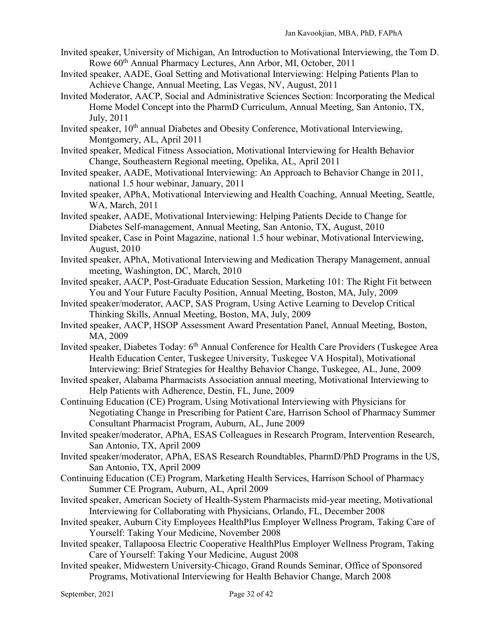- Invited speaker, University of Michigan, An Introduction to Motivational Interviewing, the Tom D. Rowe 60<sup>th</sup> Annual Pharmacy Lectures, Ann Arbor, MI, October, 2011
- Invited speaker, AADE, Goal Setting and Motivational Interviewing: Helping Patients Plan to Achieve Change, Annual Meeting, Las Vegas, NV, August, 2011
- Invited Moderator, AACP, Social and Administrative Sciences Section: Incorporating the Medical Home Model Concept into the PharmD Curriculum, Annual Meeting, San Antonio, TX, July, 2011
- Invited speaker, 10<sup>th</sup> annual Diabetes and Obesity Conference, Motivational Interviewing, Montgomery, AL, April 2011
- Invited speaker, Medical Fitness Association, Motivational Interviewing for Health Behavior Change, Southeastern Regional meeting, Opelika, AL, April 2011
- Invited speaker, AADE, Motivational Interviewing: An Approach to Behavior Change in 2011, national 1.5 hour webinar, January, 2011
- Invited speaker, APhA, Motivational Interviewing and Health Coaching, Annual Meeting, Seattle, WA, March, 2011
- Invited speaker, AADE, Motivational Interviewing: Helping Patients Decide to Change for Diabetes Self-management, Annual Meeting, San Antonio, TX, August, 2010
- Invited speaker, Case in Point Magazine, national 1.5 hour webinar, Motivational Interviewing, August, 2010
- Invited speaker, APhA, Motivational Interviewing and Medication Therapy Management, annual meeting, Washington, DC, March, 2010
- Invited speaker, AACP, Post-Graduate Education Session, Marketing 101: The Right Fit between You and Your Future Faculty Position, Annual Meeting, Boston, MA, July, 2009
- Invited speaker/moderator, AACP, SAS Program, Using Active Learning to Develop Critical Thinking Skills, Annual Meeting, Boston, MA, July, 2009
- Invited speaker, AACP, HSOP Assessment Award Presentation Panel, Annual Meeting, Boston, MA, 2009
- Invited speaker, Diabetes Today: 6<sup>th</sup> Annual Conference for Health Care Providers (Tuskegee Area Health Education Center, Tuskegee University, Tuskegee VA Hospital), Motivational Interviewing: Brief Strategies for Healthy Behavior Change, Tuskegee, AL, June, 2009
- Invited speaker, Alabama Pharmacists Association annual meeting, Motivational Interviewing to Help Patients with Adherence, Destin, FL, June, 2009
- Continuing Education (CE) Program, Using Motivational Interviewing with Physicians for Negotiating Change in Prescribing for Patient Care, Harrison School of Pharmacy Summer Consultant Pharmacist Program, Auburn, AL, June 2009
- Invited speaker/moderator, APhA, ESAS Colleagues in Research Program, Intervention Research, San Antonio, TX, April 2009
- Invited speaker/moderator, APhA, ESAS Research Roundtables, PharmD/PhD Programs in the US, San Antonio, TX, April 2009
- Continuing Education (CE) Program, Marketing Health Services, Harrison School of Pharmacy Summer CE Program, Auburn, AL, April 2009
- Invited speaker, American Society of Health-System Pharmacists mid-year meeting, Motivational Interviewing for Collaborating with Physicians, Orlando, FL, December 2008
- Invited speaker, Auburn City Employees HealthPlus Employer Wellness Program, Taking Care of Yourself: Taking Your Medicine, November 2008
- Invited speaker, Tallapoosa Electric Cooperative HealthPlus Employer Wellness Program, Taking Care of Yourself: Taking Your Medicine, August 2008
- Invited speaker, Midwestern University-Chicago, Grand Rounds Seminar, Office of Sponsored Programs, Motivational Interviewing for Health Behavior Change, March 2008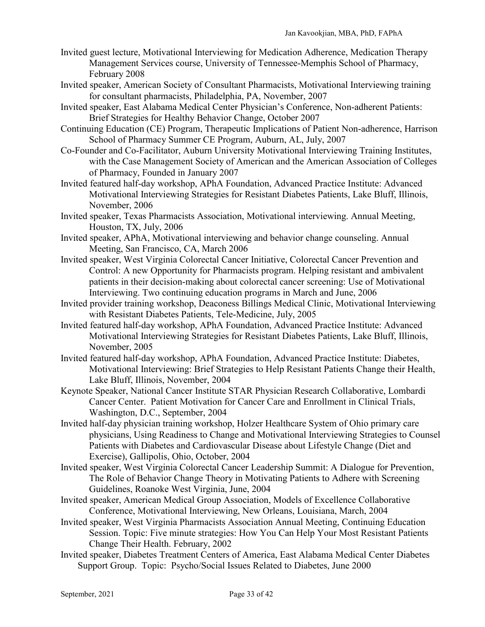- Invited guest lecture, Motivational Interviewing for Medication Adherence, Medication Therapy Management Services course, University of Tennessee-Memphis School of Pharmacy, February 2008
- Invited speaker, American Society of Consultant Pharmacists, Motivational Interviewing training for consultant pharmacists, Philadelphia, PA, November, 2007
- Invited speaker, East Alabama Medical Center Physician's Conference, Non-adherent Patients: Brief Strategies for Healthy Behavior Change, October 2007
- Continuing Education (CE) Program, Therapeutic Implications of Patient Non-adherence, Harrison School of Pharmacy Summer CE Program, Auburn, AL, July, 2007
- Co-Founder and Co-Facilitator, Auburn University Motivational Interviewing Training Institutes, with the Case Management Society of American and the American Association of Colleges of Pharmacy, Founded in January 2007
- Invited featured half-day workshop, APhA Foundation, Advanced Practice Institute: Advanced Motivational Interviewing Strategies for Resistant Diabetes Patients, Lake Bluff, Illinois, November, 2006
- Invited speaker, Texas Pharmacists Association, Motivational interviewing. Annual Meeting, Houston, TX, July, 2006
- Invited speaker, APhA, Motivational interviewing and behavior change counseling. Annual Meeting, San Francisco, CA, March 2006
- Invited speaker, West Virginia Colorectal Cancer Initiative, Colorectal Cancer Prevention and Control: A new Opportunity for Pharmacists program. Helping resistant and ambivalent patients in their decision-making about colorectal cancer screening: Use of Motivational Interviewing. Two continuing education programs in March and June, 2006
- Invited provider training workshop, Deaconess Billings Medical Clinic, Motivational Interviewing with Resistant Diabetes Patients, Tele-Medicine, July, 2005
- Invited featured half-day workshop, APhA Foundation, Advanced Practice Institute: Advanced Motivational Interviewing Strategies for Resistant Diabetes Patients, Lake Bluff, Illinois, November, 2005
- Invited featured half-day workshop, APhA Foundation, Advanced Practice Institute: Diabetes, Motivational Interviewing: Brief Strategies to Help Resistant Patients Change their Health, Lake Bluff, Illinois, November, 2004
- Keynote Speaker, National Cancer Institute STAR Physician Research Collaborative, Lombardi Cancer Center. Patient Motivation for Cancer Care and Enrollment in Clinical Trials, Washington, D.C., September, 2004
- Invited half-day physician training workshop, Holzer Healthcare System of Ohio primary care physicians, Using Readiness to Change and Motivational Interviewing Strategies to Counsel Patients with Diabetes and Cardiovascular Disease about Lifestyle Change (Diet and Exercise), Gallipolis, Ohio, October, 2004
- Invited speaker, West Virginia Colorectal Cancer Leadership Summit: A Dialogue for Prevention, The Role of Behavior Change Theory in Motivating Patients to Adhere with Screening Guidelines, Roanoke West Virginia, June, 2004
- Invited speaker, American Medical Group Association, Models of Excellence Collaborative Conference, Motivational Interviewing, New Orleans, Louisiana, March, 2004
- Invited speaker, West Virginia Pharmacists Association Annual Meeting, Continuing Education Session. Topic: Five minute strategies: How You Can Help Your Most Resistant Patients Change Their Health. February, 2002
- Invited speaker, Diabetes Treatment Centers of America, East Alabama Medical Center Diabetes Support Group. Topic: Psycho/Social Issues Related to Diabetes, June 2000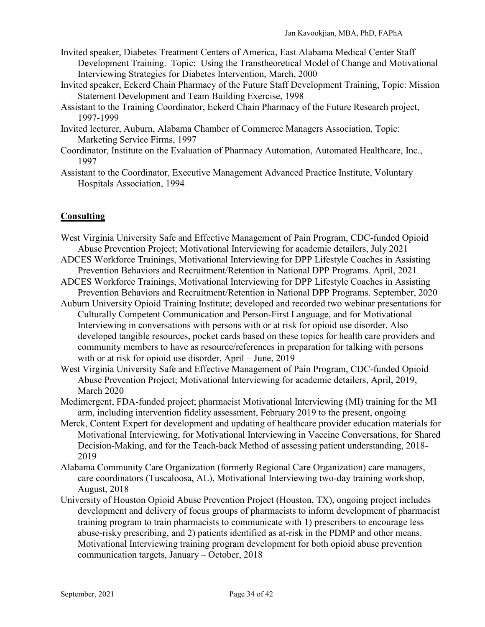- Invited speaker, Diabetes Treatment Centers of America, East Alabama Medical Center Staff Development Training. Topic: Using the Transtheoretical Model of Change and Motivational Interviewing Strategies for Diabetes Intervention, March, 2000
- Invited speaker, Eckerd Chain Pharmacy of the Future Staff Development Training, Topic: Mission Statement Development and Team Building Exercise, 1998
- Assistant to the Training Coordinator, Eckerd Chain Pharmacy of the Future Research project, 1997-1999
- Invited lecturer, Auburn, Alabama Chamber of Commerce Managers Association. Topic: Marketing Service Firms, 1997
- Coordinator, Institute on the Evaluation of Pharmacy Automation, Automated Healthcare, Inc., 1997
- Assistant to the Coordinator, Executive Management Advanced Practice Institute, Voluntary Hospitals Association, 1994

# **Consulting**

- West Virginia University Safe and Effective Management of Pain Program, CDC-funded Opioid Abuse Prevention Project; Motivational Interviewing for academic detailers, July 2021
- ADCES Workforce Trainings, Motivational Interviewing for DPP Lifestyle Coaches in Assisting Prevention Behaviors and Recruitment/Retention in National DPP Programs. April, 2021
- ADCES Workforce Trainings, Motivational Interviewing for DPP Lifestyle Coaches in Assisting Prevention Behaviors and Recruitment/Retention in National DPP Programs. September, 2020
- Auburn University Opioid Training Institute; developed and recorded two webinar presentations for Culturally Competent Communication and Person-First Language, and for Motivational Interviewing in conversations with persons with or at risk for opioid use disorder. Also developed tangible resources, pocket cards based on these topics for health care providers and community members to have as resource/references in preparation for talking with persons with or at risk for opioid use disorder, April – June, 2019
- West Virginia University Safe and Effective Management of Pain Program, CDC-funded Opioid Abuse Prevention Project; Motivational Interviewing for academic detailers, April, 2019, March 2020
- Medimergent, FDA-funded project; pharmacist Motivational Interviewing (MI) training for the MI arm, including intervention fidelity assessment, February 2019 to the present, ongoing
- Merck, Content Expert for development and updating of healthcare provider education materials for Motivational Interviewing, for Motivational Interviewing in Vaccine Conversations, for Shared Decision-Making, and for the Teach-back Method of assessing patient understanding, 2018- 2019
- Alabama Community Care Organization (formerly Regional Care Organization) care managers, care coordinators (Tuscaloosa, AL), Motivational Interviewing two-day training workshop, August, 2018
- University of Houston Opioid Abuse Prevention Project (Houston, TX), ongoing project includes development and delivery of focus groups of pharmacists to inform development of pharmacist training program to train pharmacists to communicate with 1) prescribers to encourage less abuse-risky prescribing, and 2) patients identified as at-risk in the PDMP and other means. Motivational Interviewing training program development for both opioid abuse prevention communication targets, January – October, 2018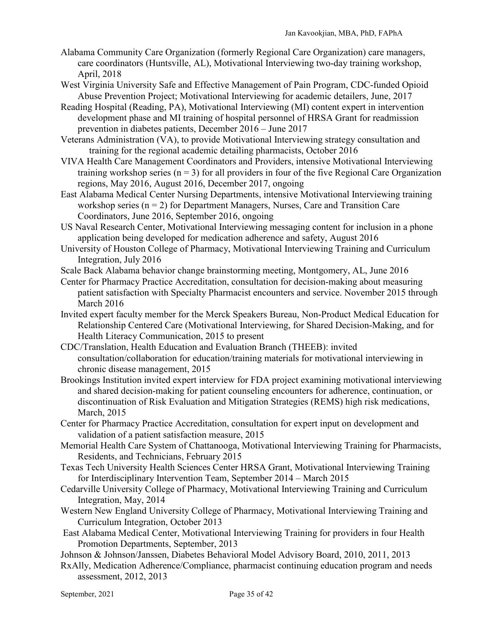- Alabama Community Care Organization (formerly Regional Care Organization) care managers, care coordinators (Huntsville, AL), Motivational Interviewing two-day training workshop, April, 2018
- West Virginia University Safe and Effective Management of Pain Program, CDC-funded Opioid Abuse Prevention Project; Motivational Interviewing for academic detailers, June, 2017
- Reading Hospital (Reading, PA), Motivational Interviewing (MI) content expert in intervention development phase and MI training of hospital personnel of HRSA Grant for readmission prevention in diabetes patients, December 2016 – June 2017
- Veterans Administration (VA), to provide Motivational Interviewing strategy consultation and training for the regional academic detailing pharmacists, October 2016
- VIVA Health Care Management Coordinators and Providers, intensive Motivational Interviewing training workshop series  $(n = 3)$  for all providers in four of the five Regional Care Organization regions, May 2016, August 2016, December 2017, ongoing
- East Alabama Medical Center Nursing Departments, intensive Motivational Interviewing training workshop series  $(n = 2)$  for Department Managers, Nurses, Care and Transition Care Coordinators, June 2016, September 2016, ongoing
- US Naval Research Center, Motivational Interviewing messaging content for inclusion in a phone application being developed for medication adherence and safety, August 2016
- University of Houston College of Pharmacy, Motivational Interviewing Training and Curriculum Integration, July 2016
- Scale Back Alabama behavior change brainstorming meeting, Montgomery, AL, June 2016
- Center for Pharmacy Practice Accreditation, consultation for decision-making about measuring patient satisfaction with Specialty Pharmacist encounters and service. November 2015 through March 2016
- Invited expert faculty member for the Merck Speakers Bureau, Non-Product Medical Education for Relationship Centered Care (Motivational Interviewing, for Shared Decision-Making, and for Health Literacy Communication, 2015 to present
- CDC/Translation, Health Education and Evaluation Branch (THEEB): invited consultation/collaboration for education/training materials for motivational interviewing in chronic disease management, 2015
- Brookings Institution invited expert interview for FDA project examining motivational interviewing and shared decision-making for patient counseling encounters for adherence, continuation, or discontinuation of Risk Evaluation and Mitigation Strategies (REMS) high risk medications, March, 2015
- Center for Pharmacy Practice Accreditation, consultation for expert input on development and validation of a patient satisfaction measure, 2015
- Memorial Health Care System of Chattanooga, Motivational Interviewing Training for Pharmacists, Residents, and Technicians, February 2015
- Texas Tech University Health Sciences Center HRSA Grant, Motivational Interviewing Training for Interdisciplinary Intervention Team, September 2014 – March 2015
- Cedarville University College of Pharmacy, Motivational Interviewing Training and Curriculum Integration, May, 2014
- Western New England University College of Pharmacy, Motivational Interviewing Training and Curriculum Integration, October 2013
- East Alabama Medical Center, Motivational Interviewing Training for providers in four Health Promotion Departments, September, 2013
- Johnson & Johnson/Janssen, Diabetes Behavioral Model Advisory Board, 2010, 2011, 2013
- RxAlly, Medication Adherence/Compliance, pharmacist continuing education program and needs assessment, 2012, 2013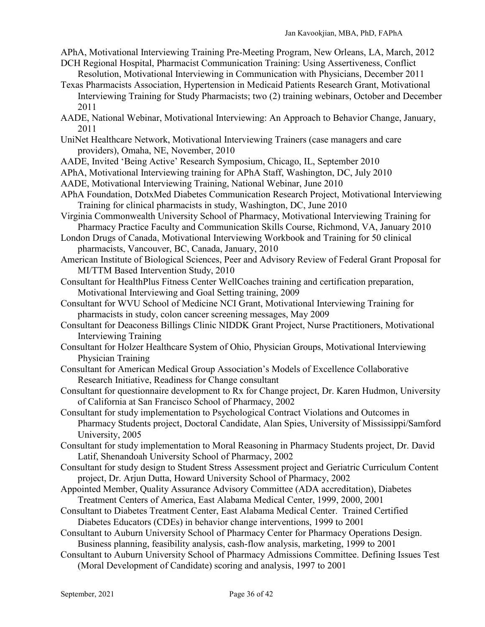- APhA, Motivational Interviewing Training Pre-Meeting Program, New Orleans, LA, March, 2012
- DCH Regional Hospital, Pharmacist Communication Training: Using Assertiveness, Conflict Resolution, Motivational Interviewing in Communication with Physicians, December 2011 Texas Pharmacists Association, Hypertension in Medicaid Patients Research Grant, Motivational
- Interviewing Training for Study Pharmacists; two (2) training webinars, October and December 2011
- AADE, National Webinar, Motivational Interviewing: An Approach to Behavior Change, January, 2011
- UniNet Healthcare Network, Motivational Interviewing Trainers (case managers and care providers), Omaha, NE, November, 2010
- AADE, Invited 'Being Active' Research Symposium, Chicago, IL, September 2010
- APhA, Motivational Interviewing training for APhA Staff, Washington, DC, July 2010
- AADE, Motivational Interviewing Training, National Webinar, June 2010
- APhA Foundation, DotxMed Diabetes Communication Research Project, Motivational Interviewing Training for clinical pharmacists in study, Washington, DC, June 2010
- Virginia Commonwealth University School of Pharmacy, Motivational Interviewing Training for Pharmacy Practice Faculty and Communication Skills Course, Richmond, VA, January 2010
- London Drugs of Canada, Motivational Interviewing Workbook and Training for 50 clinical pharmacists, Vancouver, BC, Canada, January, 2010
- American Institute of Biological Sciences, Peer and Advisory Review of Federal Grant Proposal for MI/TTM Based Intervention Study, 2010
- Consultant for HealthPlus Fitness Center WellCoaches training and certification preparation, Motivational Interviewing and Goal Setting training, 2009
- Consultant for WVU School of Medicine NCI Grant, Motivational Interviewing Training for pharmacists in study, colon cancer screening messages, May 2009
- Consultant for Deaconess Billings Clinic NIDDK Grant Project, Nurse Practitioners, Motivational Interviewing Training
- Consultant for Holzer Healthcare System of Ohio, Physician Groups, Motivational Interviewing Physician Training
- Consultant for American Medical Group Association's Models of Excellence Collaborative Research Initiative, Readiness for Change consultant
- Consultant for questionnaire development to Rx for Change project, Dr. Karen Hudmon, University of California at San Francisco School of Pharmacy, 2002
- Consultant for study implementation to Psychological Contract Violations and Outcomes in Pharmacy Students project, Doctoral Candidate, Alan Spies, University of Mississippi/Samford University, 2005
- Consultant for study implementation to Moral Reasoning in Pharmacy Students project, Dr. David Latif, Shenandoah University School of Pharmacy, 2002
- Consultant for study design to Student Stress Assessment project and Geriatric Curriculum Content project, Dr. Arjun Dutta, Howard University School of Pharmacy, 2002
- Appointed Member, Quality Assurance Advisory Committee (ADA accreditation), Diabetes Treatment Centers of America, East Alabama Medical Center, 1999, 2000, 2001
- Consultant to Diabetes Treatment Center, East Alabama Medical Center. Trained Certified Diabetes Educators (CDEs) in behavior change interventions, 1999 to 2001
- Consultant to Auburn University School of Pharmacy Center for Pharmacy Operations Design. Business planning, feasibility analysis, cash-flow analysis, marketing, 1999 to 2001
- Consultant to Auburn University School of Pharmacy Admissions Committee. Defining Issues Test (Moral Development of Candidate) scoring and analysis, 1997 to 2001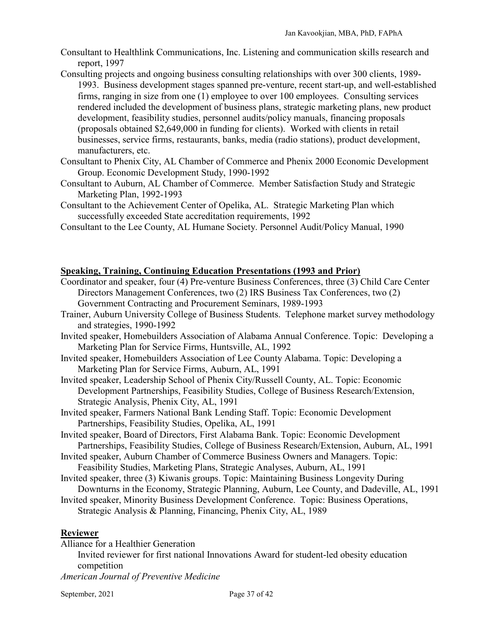- Consultant to Healthlink Communications, Inc. Listening and communication skills research and report, 1997
- Consulting projects and ongoing business consulting relationships with over 300 clients, 1989- 1993. Business development stages spanned pre-venture, recent start-up, and well-established firms, ranging in size from one (1) employee to over 100 employees. Consulting services rendered included the development of business plans, strategic marketing plans, new product development, feasibility studies, personnel audits/policy manuals, financing proposals (proposals obtained \$2,649,000 in funding for clients). Worked with clients in retail businesses, service firms, restaurants, banks, media (radio stations), product development, manufacturers, etc.
- Consultant to Phenix City, AL Chamber of Commerce and Phenix 2000 Economic Development Group. Economic Development Study, 1990-1992
- Consultant to Auburn, AL Chamber of Commerce. Member Satisfaction Study and Strategic Marketing Plan, 1992-1993
- Consultant to the Achievement Center of Opelika, AL. Strategic Marketing Plan which successfully exceeded State accreditation requirements, 1992
- Consultant to the Lee County, AL Humane Society. Personnel Audit/Policy Manual, 1990

# **Speaking, Training, Continuing Education Presentations (1993 and Prior)**

- Coordinator and speaker, four (4) Pre-venture Business Conferences, three (3) Child Care Center Directors Management Conferences, two (2) IRS Business Tax Conferences, two (2) Government Contracting and Procurement Seminars, 1989-1993
- Trainer, Auburn University College of Business Students. Telephone market survey methodology and strategies, 1990-1992
- Invited speaker, Homebuilders Association of Alabama Annual Conference. Topic: Developing a Marketing Plan for Service Firms, Huntsville, AL, 1992
- Invited speaker, Homebuilders Association of Lee County Alabama. Topic: Developing a Marketing Plan for Service Firms, Auburn, AL, 1991
- Invited speaker, Leadership School of Phenix City/Russell County, AL. Topic: Economic Development Partnerships, Feasibility Studies, College of Business Research/Extension, Strategic Analysis, Phenix City, AL, 1991
- Invited speaker, Farmers National Bank Lending Staff. Topic: Economic Development Partnerships, Feasibility Studies, Opelika, AL, 1991
- Invited speaker, Board of Directors, First Alabama Bank. Topic: Economic Development Partnerships, Feasibility Studies, College of Business Research/Extension, Auburn, AL, 1991
- Invited speaker, Auburn Chamber of Commerce Business Owners and Managers. Topic: Feasibility Studies, Marketing Plans, Strategic Analyses, Auburn, AL, 1991
- Invited speaker, three (3) Kiwanis groups. Topic: Maintaining Business Longevity During Downturns in the Economy, Strategic Planning, Auburn, Lee County, and Dadeville, AL, 1991
- Invited speaker, Minority Business Development Conference. Topic: Business Operations, Strategic Analysis & Planning, Financing, Phenix City, AL, 1989

# **Reviewer**

Alliance for a Healthier Generation Invited reviewer for first national Innovations Award for student-led obesity education competition

*American Journal of Preventive Medicine*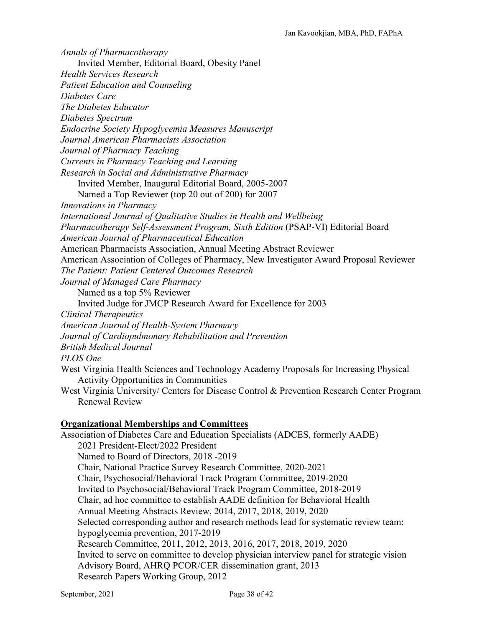*Annals of Pharmacotherapy* Invited Member, Editorial Board, Obesity Panel *Health Services Research Patient Education and Counseling Diabetes Care The Diabetes Educator Diabetes Spectrum Endocrine Society Hypoglycemia Measures Manuscript Journal American Pharmacists Association Journal of Pharmacy Teaching Currents in Pharmacy Teaching and Learning Research in Social and Administrative Pharmacy* Invited Member, Inaugural Editorial Board, 2005-2007 Named a Top Reviewer (top 20 out of 200) for 2007 *Innovations in Pharmacy International Journal of Qualitative Studies in Health and Wellbeing Pharmacotherapy Self-Assessment Program, Sixth Edition* (PSAP-VI) Editorial Board *American Journal of Pharmaceutical Education* American Pharmacists Association, Annual Meeting Abstract Reviewer American Association of Colleges of Pharmacy, New Investigator Award Proposal Reviewer *The Patient: Patient Centered Outcomes Research Journal of Managed Care Pharmacy* Named as a top 5% Reviewer Invited Judge for JMCP Research Award for Excellence for 2003 *Clinical Therapeutics American Journal of Health-System Pharmacy Journal of Cardiopulmonary Rehabilitation and Prevention British Medical Journal PLOS One* West Virginia Health Sciences and Technology Academy Proposals for Increasing Physical Activity Opportunities in Communities West Virginia University/ Centers for Disease Control & Prevention Research Center Program Renewal Review **Organizational Memberships and Committees** Association of Diabetes Care and Education Specialists (ADCES, formerly AADE) 2021 President-Elect/2022 President Named to Board of Directors, 2018 -2019 Chair, National Practice Survey Research Committee, 2020-2021 Chair, Psychosocial/Behavioral Track Program Committee, 2019-2020 Invited to Psychosocial/Behavioral Track Program Committee, 2018-2019 Chair, ad hoc committee to establish AADE definition for Behavioral Health Annual Meeting Abstracts Review, 2014, 2017, 2018, 2019, 2020 Selected corresponding author and research methods lead for systematic review team: hypoglycemia prevention, 2017-2019 Research Committee, 2011, 2012, 2013, 2016, 2017, 2018, 2019, 2020

 Invited to serve on committee to develop physician interview panel for strategic vision Advisory Board, AHRQ PCOR/CER dissemination grant, 2013 Research Papers Working Group, 2012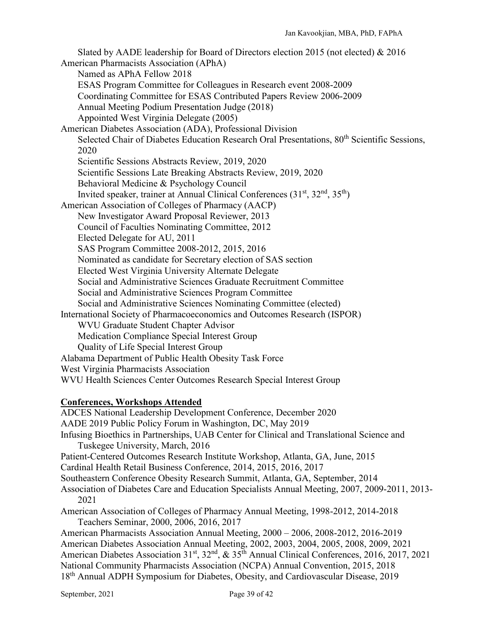Slated by AADE leadership for Board of Directors election 2015 (not elected) & 2016 American Pharmacists Association (APhA) Named as APhA Fellow 2018 ESAS Program Committee for Colleagues in Research event 2008-2009 Coordinating Committee for ESAS Contributed Papers Review 2006-2009 Annual Meeting Podium Presentation Judge (2018) Appointed West Virginia Delegate (2005) American Diabetes Association (ADA), Professional Division Selected Chair of Diabetes Education Research Oral Presentations, 80<sup>th</sup> Scientific Sessions. 2020 Scientific Sessions Abstracts Review, 2019, 2020 Scientific Sessions Late Breaking Abstracts Review, 2019, 2020 Behavioral Medicine & Psychology Council Invited speaker, trainer at Annual Clinical Conferences  $(31<sup>st</sup>, 32<sup>nd</sup>, 35<sup>th</sup>)$ American Association of Colleges of Pharmacy (AACP) New Investigator Award Proposal Reviewer, 2013 Council of Faculties Nominating Committee, 2012 Elected Delegate for AU, 2011 SAS Program Committee 2008-2012, 2015, 2016 Nominated as candidate for Secretary election of SAS section Elected West Virginia University Alternate Delegate Social and Administrative Sciences Graduate Recruitment Committee Social and Administrative Sciences Program Committee Social and Administrative Sciences Nominating Committee (elected) International Society of Pharmacoeconomics and Outcomes Research (ISPOR) WVU Graduate Student Chapter Advisor Medication Compliance Special Interest Group Quality of Life Special Interest Group Alabama Department of Public Health Obesity Task Force West Virginia Pharmacists Association WVU Health Sciences Center Outcomes Research Special Interest Group

### **Conferences, Workshops Attended**

ADCES National Leadership Development Conference, December 2020 AADE 2019 Public Policy Forum in Washington, DC, May 2019 Infusing Bioethics in Partnerships, UAB Center for Clinical and Translational Science and Tuskegee University, March, 2016 Patient-Centered Outcomes Research Institute Workshop, Atlanta, GA, June, 2015 Cardinal Health Retail Business Conference, 2014, 2015, 2016, 2017 Southeastern Conference Obesity Research Summit, Atlanta, GA, September, 2014 Association of Diabetes Care and Education Specialists Annual Meeting, 2007, 2009-2011, 2013- 2021 American Association of Colleges of Pharmacy Annual Meeting, 1998-2012, 2014-2018 Teachers Seminar, 2000, 2006, 2016, 2017 American Pharmacists Association Annual Meeting, 2000 – 2006, 2008-2012, 2016-2019 American Diabetes Association Annual Meeting, 2002, 2003, 2004, 2005, 2008, 2009, 2021 American Diabetes Association 31<sup>st</sup>, 32<sup>nd</sup>, & 35<sup>th</sup> Annual Clinical Conferences, 2016, 2017, 2021 National Community Pharmacists Association (NCPA) Annual Convention, 2015, 2018 18<sup>th</sup> Annual ADPH Symposium for Diabetes, Obesity, and Cardiovascular Disease, 2019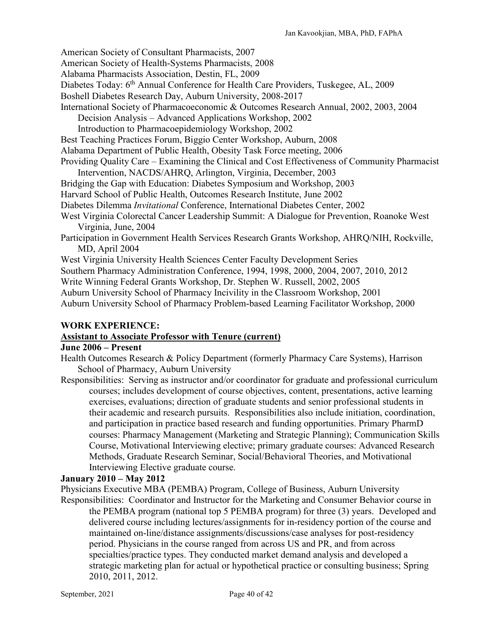American Society of Consultant Pharmacists, 2007

American Society of Health-Systems Pharmacists, 2008

Alabama Pharmacists Association, Destin, FL, 2009

Diabetes Today: 6<sup>th</sup> Annual Conference for Health Care Providers, Tuskegee, AL, 2009

Boshell Diabetes Research Day, Auburn University, 2008-2017

International Society of Pharmacoeconomic & Outcomes Research Annual, 2002, 2003, 2004

Decision Analysis – Advanced Applications Workshop, 2002

Introduction to Pharmacoepidemiology Workshop, 2002

Best Teaching Practices Forum, Biggio Center Workshop, Auburn, 2008

Alabama Department of Public Health, Obesity Task Force meeting, 2006

Providing Quality Care – Examining the Clinical and Cost Effectiveness of Community Pharmacist Intervention, NACDS/AHRQ, Arlington, Virginia, December, 2003

Bridging the Gap with Education: Diabetes Symposium and Workshop, 2003

Harvard School of Public Health, Outcomes Research Institute, June 2002

Diabetes Dilemma *Invitational* Conference, International Diabetes Center, 2002

West Virginia Colorectal Cancer Leadership Summit: A Dialogue for Prevention, Roanoke West Virginia, June, 2004

Participation in Government Health Services Research Grants Workshop, AHRQ/NIH, Rockville, MD, April 2004

West Virginia University Health Sciences Center Faculty Development Series

Southern Pharmacy Administration Conference, 1994, 1998, 2000, 2004, 2007, 2010, 2012

Write Winning Federal Grants Workshop, Dr. Stephen W. Russell, 2002, 2005

Auburn University School of Pharmacy Incivility in the Classroom Workshop, 2001

Auburn University School of Pharmacy Problem-based Learning Facilitator Workshop, 2000

### **WORK EXPERIENCE:**

### **Assistant to Associate Professor with Tenure (current)**

### **June 2006 – Present**

Health Outcomes Research & Policy Department (formerly Pharmacy Care Systems), Harrison School of Pharmacy, Auburn University

Responsibilities: Serving as instructor and/or coordinator for graduate and professional curriculum courses; includes development of course objectives, content, presentations, active learning exercises, evaluations; direction of graduate students and senior professional students in their academic and research pursuits. Responsibilities also include initiation, coordination, and participation in practice based research and funding opportunities. Primary PharmD courses: Pharmacy Management (Marketing and Strategic Planning); Communication Skills Course, Motivational Interviewing elective; primary graduate courses: Advanced Research Methods, Graduate Research Seminar, Social/Behavioral Theories, and Motivational Interviewing Elective graduate course.

### **January 2010 – May 2012**

Physicians Executive MBA (PEMBA) Program, College of Business, Auburn University

Responsibilities: Coordinator and Instructor for the Marketing and Consumer Behavior course in the PEMBA program (national top 5 PEMBA program) for three (3) years. Developed and delivered course including lectures/assignments for in-residency portion of the course and maintained on-line/distance assignments/discussions/case analyses for post-residency period. Physicians in the course ranged from across US and PR, and from across specialties/practice types. They conducted market demand analysis and developed a strategic marketing plan for actual or hypothetical practice or consulting business; Spring 2010, 2011, 2012.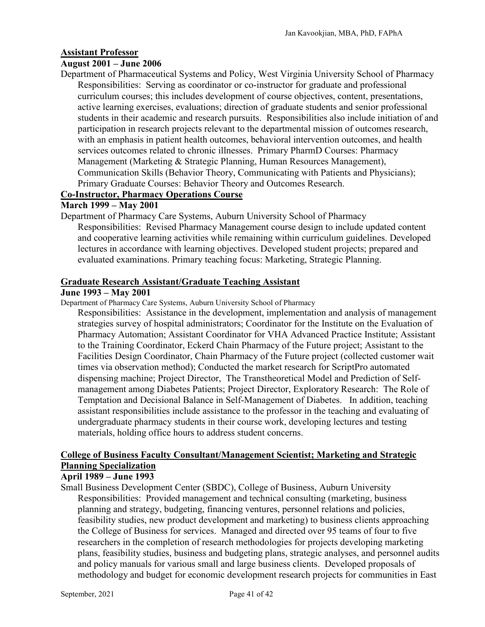#### **Assistant Professor**

### **August 2001 – June 2006**

Department of Pharmaceutical Systems and Policy, West Virginia University School of Pharmacy Responsibilities: Serving as coordinator or co-instructor for graduate and professional curriculum courses; this includes development of course objectives, content, presentations, active learning exercises, evaluations; direction of graduate students and senior professional students in their academic and research pursuits. Responsibilities also include initiation of and participation in research projects relevant to the departmental mission of outcomes research, with an emphasis in patient health outcomes, behavioral intervention outcomes, and health services outcomes related to chronic illnesses. Primary PharmD Courses: Pharmacy Management (Marketing & Strategic Planning, Human Resources Management), Communication Skills (Behavior Theory, Communicating with Patients and Physicians); Primary Graduate Courses: Behavior Theory and Outcomes Research.

### **Co-Instructor, Pharmacy Operations Course**

### **March 1999 – May 2001**

Department of Pharmacy Care Systems, Auburn University School of Pharmacy Responsibilities: Revised Pharmacy Management course design to include updated content and cooperative learning activities while remaining within curriculum guidelines. Developed lectures in accordance with learning objectives. Developed student projects; prepared and evaluated examinations. Primary teaching focus: Marketing, Strategic Planning.

#### **Graduate Research Assistant/Graduate Teaching Assistant**

### **June 1993 – May 2001**

Department of Pharmacy Care Systems, Auburn University School of Pharmacy

Responsibilities: Assistance in the development, implementation and analysis of management strategies survey of hospital administrators; Coordinator for the Institute on the Evaluation of Pharmacy Automation; Assistant Coordinator for VHA Advanced Practice Institute; Assistant to the Training Coordinator, Eckerd Chain Pharmacy of the Future project; Assistant to the Facilities Design Coordinator, Chain Pharmacy of the Future project (collected customer wait times via observation method); Conducted the market research for ScriptPro automated dispensing machine; Project Director, The Transtheoretical Model and Prediction of Selfmanagement among Diabetes Patients; Project Director, Exploratory Research: The Role of Temptation and Decisional Balance in Self-Management of Diabetes. In addition, teaching assistant responsibilities include assistance to the professor in the teaching and evaluating of undergraduate pharmacy students in their course work, developing lectures and testing materials, holding office hours to address student concerns.

### **College of Business Faculty Consultant/Management Scientist; Marketing and Strategic Planning Specialization**

### **April 1989 – June 1993**

Small Business Development Center (SBDC), College of Business, Auburn University Responsibilities: Provided management and technical consulting (marketing, business planning and strategy, budgeting, financing ventures, personnel relations and policies, feasibility studies, new product development and marketing) to business clients approaching the College of Business for services. Managed and directed over 95 teams of four to five researchers in the completion of research methodologies for projects developing marketing plans, feasibility studies, business and budgeting plans, strategic analyses, and personnel audits and policy manuals for various small and large business clients. Developed proposals of methodology and budget for economic development research projects for communities in East